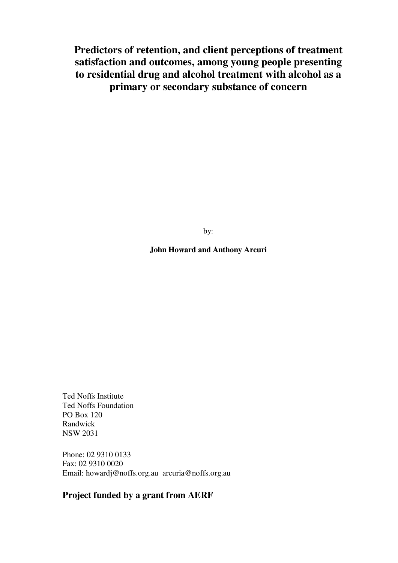**Predictors of retention, and client perceptions of treatment satisfaction and outcomes, among young people presenting to residential drug and alcohol treatment with alcohol as a primary or secondary substance of concern** 

by:

**John Howard and Anthony Arcuri** 

Ted Noffs Institute Ted Noffs Foundation PO Box 120 Randwick NSW 2031

Phone: 02 9310 0133 Fax: 02 9310 0020 Email: howardj@noffs.org.au arcuria@noffs.org.au

# **Project funded by a grant from AERF**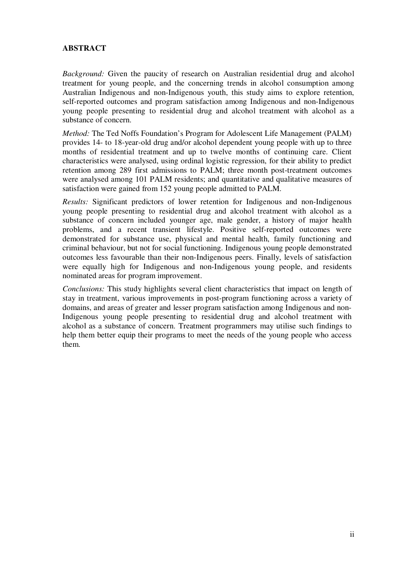## **ABSTRACT**

*Background:* Given the paucity of research on Australian residential drug and alcohol treatment for young people, and the concerning trends in alcohol consumption among Australian Indigenous and non-Indigenous youth, this study aims to explore retention, self-reported outcomes and program satisfaction among Indigenous and non-Indigenous young people presenting to residential drug and alcohol treatment with alcohol as a substance of concern.

*Method:* The Ted Noffs Foundation's Program for Adolescent Life Management (PALM) provides 14- to 18-year-old drug and/or alcohol dependent young people with up to three months of residential treatment and up to twelve months of continuing care. Client characteristics were analysed, using ordinal logistic regression, for their ability to predict retention among 289 first admissions to PALM; three month post-treatment outcomes were analysed among 101 PALM residents; and quantitative and qualitative measures of satisfaction were gained from 152 young people admitted to PALM.

*Results:* Significant predictors of lower retention for Indigenous and non-Indigenous young people presenting to residential drug and alcohol treatment with alcohol as a substance of concern included younger age, male gender, a history of major health problems, and a recent transient lifestyle. Positive self-reported outcomes were demonstrated for substance use, physical and mental health, family functioning and criminal behaviour, but not for social functioning. Indigenous young people demonstrated outcomes less favourable than their non-Indigenous peers. Finally, levels of satisfaction were equally high for Indigenous and non-Indigenous young people, and residents nominated areas for program improvement.

*Conclusions:* This study highlights several client characteristics that impact on length of stay in treatment, various improvements in post-program functioning across a variety of domains, and areas of greater and lesser program satisfaction among Indigenous and non-Indigenous young people presenting to residential drug and alcohol treatment with alcohol as a substance of concern. Treatment programmers may utilise such findings to help them better equip their programs to meet the needs of the young people who access them.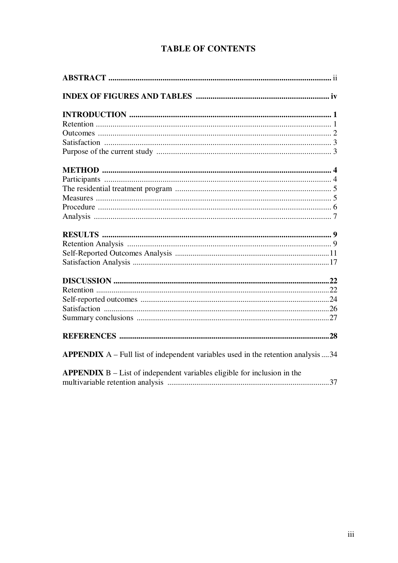| <b>APPENDIX</b> $A$ – Full list of independent variables used in the retention analysis  34 |
|---------------------------------------------------------------------------------------------|
| $APPENDIX B - List of independent variables eligible for inclusion in the$                  |

# **TABLE OF CONTENTS**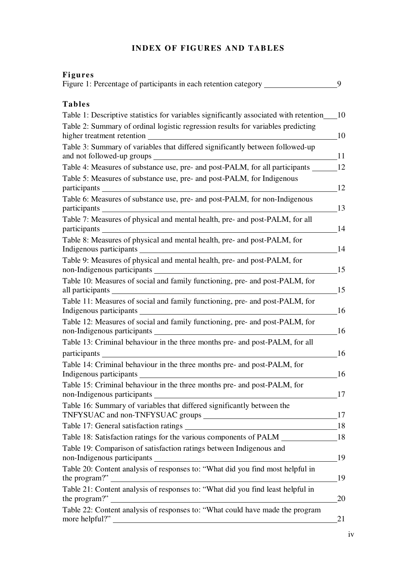# **INDEX OF FIGURES AND TABLES**

| <b>Figures</b><br>Figure 1: Percentage of participants in each retention category                                                                                                                                       | 9  |
|-------------------------------------------------------------------------------------------------------------------------------------------------------------------------------------------------------------------------|----|
| <b>Tables</b>                                                                                                                                                                                                           |    |
| Table 1: Descriptive statistics for variables significantly associated with retention                                                                                                                                   | 10 |
| Table 2: Summary of ordinal logistic regression results for variables predicting                                                                                                                                        |    |
| higher treatment retention                                                                                                                                                                                              | 10 |
| Table 3: Summary of variables that differed significantly between followed-up                                                                                                                                           | 11 |
| Table 4: Measures of substance use, pre- and post-PALM, for all participants                                                                                                                                            | 12 |
| Table 5: Measures of substance use, pre- and post-PALM, for Indigenous<br>participants                                                                                                                                  | 12 |
| Table 6: Measures of substance use, pre- and post-PALM, for non-Indigenous                                                                                                                                              | 13 |
| Table 7: Measures of physical and mental health, pre- and post-PALM, for all<br>participants                                                                                                                            | 14 |
| Table 8: Measures of physical and mental health, pre- and post-PALM, for<br>Indigenous participants                                                                                                                     | 14 |
| Table 9: Measures of physical and mental health, pre- and post-PALM, for                                                                                                                                                | 15 |
| Table 10: Measures of social and family functioning, pre- and post-PALM, for<br>all participants                                                                                                                        | 15 |
| Table 11: Measures of social and family functioning, pre- and post-PALM, for<br>Indigenous participants                                                                                                                 | 16 |
| Table 12: Measures of social and family functioning, pre- and post-PALM, for<br>non-Indigenous participants<br><u> 1989 - Johann Barbara, martxa alemani</u> ar arte                                                    | 16 |
| Table 13: Criminal behaviour in the three months pre- and post-PALM, for all<br>participants                                                                                                                            | 16 |
| Table 14: Criminal behaviour in the three months pre- and post-PALM, for<br>Indigenous participants                                                                                                                     | 16 |
| Table 15: Criminal behaviour in the three months pre- and post-PALM, for<br>non-Indigenous participants                                                                                                                 | 17 |
| Table 16: Summary of variables that differed significantly between the                                                                                                                                                  | 17 |
| Table 17: General satisfaction ratings                                                                                                                                                                                  | 18 |
| Table 18: Satisfaction ratings for the various components of PALM                                                                                                                                                       | 18 |
| Table 19: Comparison of satisfaction ratings between Indigenous and                                                                                                                                                     | 19 |
| Table 20: Content analysis of responses to: "What did you find most helpful in<br>the program?"<br><u> 1980 - Johann Barn, mars ar breithinn ar chomhair an t-Alban ann an t-Alban ann an t-Alban ann an t-Alban an</u> | 19 |
| Table 21: Content analysis of responses to: "What did you find least helpful in<br>the program?"                                                                                                                        | 20 |
| Table 22: Content analysis of responses to: "What could have made the program<br>more helpful?"                                                                                                                         | 21 |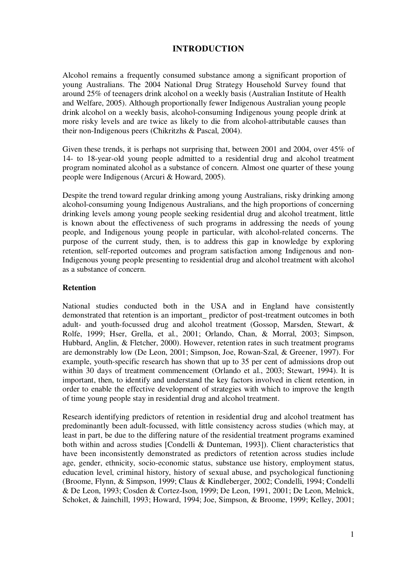## **INTRODUCTION**

Alcohol remains a frequently consumed substance among a significant proportion of young Australians. The 2004 National Drug Strategy Household Survey found that around 25% of teenagers drink alcohol on a weekly basis (Australian Institute of Health and Welfare, 2005). Although proportionally fewer Indigenous Australian young people drink alcohol on a weekly basis, alcohol-consuming Indigenous young people drink at more risky levels and are twice as likely to die from alcohol-attributable causes than their non-Indigenous peers (Chikritzhs & Pascal, 2004).

Given these trends, it is perhaps not surprising that, between 2001 and 2004, over 45% of 14- to 18-year-old young people admitted to a residential drug and alcohol treatment program nominated alcohol as a substance of concern. Almost one quarter of these young people were Indigenous (Arcuri & Howard, 2005).

Despite the trend toward regular drinking among young Australians, risky drinking among alcohol-consuming young Indigenous Australians, and the high proportions of concerning drinking levels among young people seeking residential drug and alcohol treatment, little is known about the effectiveness of such programs in addressing the needs of young people, and Indigenous young people in particular, with alcohol-related concerns. The purpose of the current study, then, is to address this gap in knowledge by exploring retention, self-reported outcomes and program satisfaction among Indigenous and non-Indigenous young people presenting to residential drug and alcohol treatment with alcohol as a substance of concern.

## **Retention**

National studies conducted both in the USA and in England have consistently demonstrated that retention is an important\_ predictor of post-treatment outcomes in both adult- and youth-focussed drug and alcohol treatment (Gossop, Marsden, Stewart, & Rolfe, 1999; Hser, Grella, et al., 2001; Orlando, Chan, & Morral, 2003; Simpson, Hubbard, Anglin, & Fletcher, 2000). However, retention rates in such treatment programs are demonstrably low (De Leon, 2001; Simpson, Joe, Rowan-Szal, & Greener, 1997). For example, youth-specific research has shown that up to 35 per cent of admissions drop out within 30 days of treatment commencement (Orlando et al., 2003; Stewart, 1994). It is important, then, to identify and understand the key factors involved in client retention, in order to enable the effective development of strategies with which to improve the length of time young people stay in residential drug and alcohol treatment.

Research identifying predictors of retention in residential drug and alcohol treatment has predominantly been adult-focussed, with little consistency across studies (which may, at least in part, be due to the differing nature of the residential treatment programs examined both within and across studies [Condelli & Dunteman, 1993]). Client characteristics that have been inconsistently demonstrated as predictors of retention across studies include age, gender, ethnicity, socio-economic status, substance use history, employment status, education level, criminal history, history of sexual abuse, and psychological functioning (Broome, Flynn, & Simpson, 1999; Claus & Kindleberger, 2002; Condelli, 1994; Condelli & De Leon, 1993; Cosden & Cortez-Ison, 1999; De Leon, 1991, 2001; De Leon, Melnick, Schoket, & Jainchill, 1993; Howard, 1994; Joe, Simpson, & Broome, 1999; Kelley, 2001;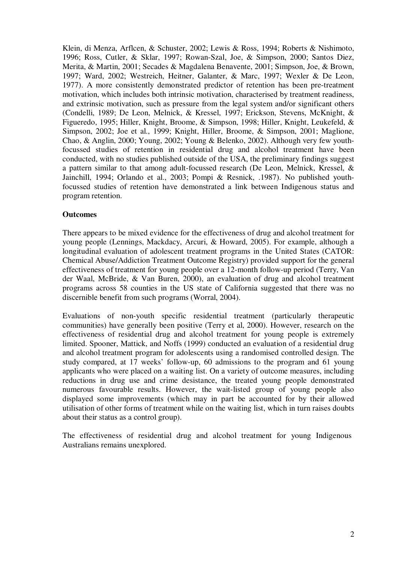Klein, di Menza, Arflcen, & Schuster, 2002; Lewis & Ross, 1994; Roberts & Nishimoto, 1996; Ross, Cutler, & Sklar, 1997; Rowan-Szal, Joe, & Simpson, 2000; Santos Diez, Merita, & Martin, 2001; Secades & Magdalena Benavente, 2001; Simpson, Joe, & Brown, 1997; Ward, 2002; Westreich, Heitner, Galanter, & Marc, 1997; Wexler & De Leon, 1977). A more consistently demonstrated predictor of retention has been pre-treatment motivation, which includes both intrinsic motivation, characterised by treatment readiness, and extrinsic motivation, such as pressure from the legal system and/or significant others (Condelli, 1989; De Leon, Melnick, & Kressel, 1997; Erickson, Stevens, McKnight, & Figueredo, 1995; Hiller, Knight, Broome, & Simpson, 1998; Hiller, Knight, Leukefeld, & Simpson, 2002; Joe et al., 1999; Knight, Hiller, Broome, & Simpson, 2001; Maglione, Chao, & Anglin, 2000; Young, 2002; Young & Belenko, 2002). Although very few youthfocussed studies of retention in residential drug and alcohol treatment have been conducted, with no studies published outside of the USA, the preliminary findings suggest a pattern similar to that among adult-focussed research (De Leon, Melnick, Kressel, & Jainchill, 1994; Orlando et al., 2003; Pompi & Resnick, .1987). No published youthfocussed studies of retention have demonstrated a link between Indigenous status and program retention.

#### **Outcomes**

There appears to be mixed evidence for the effectiveness of drug and alcohol treatment for young people (Lennings, Mackdacy, Arcuri, & Howard, 2005). For example, although a longitudinal evaluation of adolescent treatment programs in the United States (CATOR: Chemical Abuse/Addiction Treatment Outcome Registry) provided support for the general effectiveness of treatment for young people over a 12-month follow-up period (Terry, Van der Waal, McBride, & Van Buren, 2000), an evaluation of drug and alcohol treatment programs across 58 counties in the US state of California suggested that there was no discernible benefit from such programs (Worral, 2004).

Evaluations of non-youth specific residential treatment (particularly therapeutic communities) have generally been positive (Terry et al, 2000). However, research on the effectiveness of residential drug and alcohol treatment for young people is extremely limited. Spooner, Mattick, and Noffs (1999) conducted an evaluation of a residential drug and alcohol treatment program for adolescents using a randomised controlled design. The study compared, at 17 weeks' follow-up, 60 admissions to the program and 61 young applicants who were placed on a waiting list. On a variety of outcome measures, including reductions in drug use and crime desistance, the treated young people demonstrated numerous favourable results. However, the wait-listed group of young people also displayed some improvements (which may in part be accounted for by their allowed utilisation of other forms of treatment while on the waiting list, which in turn raises doubts about their status as a control group).

The effectiveness of residential drug and alcohol treatment for young Indigenous Australians remains unexplored.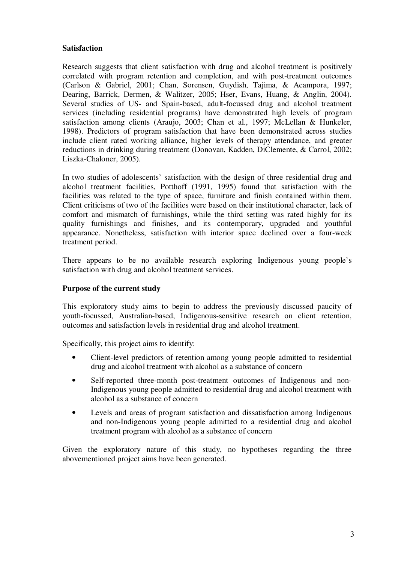## **Satisfaction**

Research suggests that client satisfaction with drug and alcohol treatment is positively correlated with program retention and completion, and with post-treatment outcomes (Carlson & Gabriel, 2001; Chan, Sorensen, Guydish, Tajima, & Acampora, 1997; Dearing, Barrick, Dermen, & Walitzer, 2005; Hser, Evans, Huang, & Anglin, 2004). Several studies of US- and Spain-based, adult-focussed drug and alcohol treatment services (including residential programs) have demonstrated high levels of program satisfaction among clients (Araujo, 2003; Chan et al., 1997; McLellan & Hunkeler, 1998). Predictors of program satisfaction that have been demonstrated across studies include client rated working alliance, higher levels of therapy attendance, and greater reductions in drinking during treatment (Donovan, Kadden, DiClemente, & Carrol, 2002; Liszka-Chaloner, 2005).

In two studies of adolescents' satisfaction with the design of three residential drug and alcohol treatment facilities, Potthoff (1991, 1995) found that satisfaction with the facilities was related to the type of space, furniture and finish contained within them. Client criticisms of two of the facilities were based on their institutional character, lack of comfort and mismatch of furnishings, while the third setting was rated highly for its quality furnishings and finishes, and its contemporary, upgraded and youthful appearance. Nonetheless, satisfaction with interior space declined over a four-week treatment period.

There appears to be no available research exploring Indigenous young people's satisfaction with drug and alcohol treatment services.

#### **Purpose of the current study**

This exploratory study aims to begin to address the previously discussed paucity of youth-focussed, Australian-based, Indigenous-sensitive research on client retention, outcomes and satisfaction levels in residential drug and alcohol treatment.

Specifically, this project aims to identify:

- Client-level predictors of retention among young people admitted to residential drug and alcohol treatment with alcohol as a substance of concern
- Self-reported three-month post-treatment outcomes of Indigenous and non-Indigenous young people admitted to residential drug and alcohol treatment with alcohol as a substance of concern
- Levels and areas of program satisfaction and dissatisfaction among Indigenous and non-Indigenous young people admitted to a residential drug and alcohol treatment program with alcohol as a substance of concern

Given the exploratory nature of this study, no hypotheses regarding the three abovementioned project aims have been generated.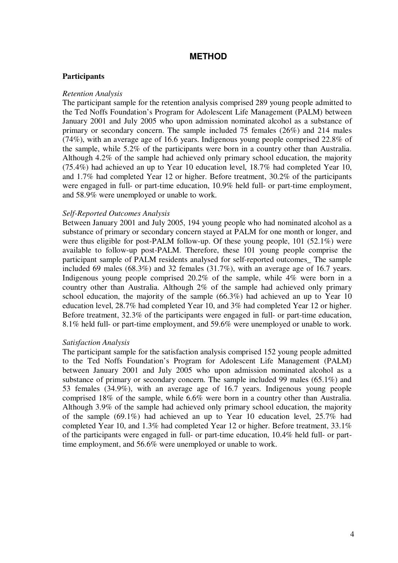## **METHOD**

#### **Participants**

#### *Retention Analysis*

The participant sample for the retention analysis comprised 289 young people admitted to the Ted Noffs Foundation's Program for Adolescent Life Management (PALM) between January 2001 and July 2005 who upon admission nominated alcohol as a substance of primary or secondary concern. The sample included 75 females (26%) and 214 males (74%), with an average age of 16.6 years. Indigenous young people comprised 22.8% of the sample, while 5.2% of the participants were born in a country other than Australia. Although 4.2% of the sample had achieved only primary school education, the majority (75.4%) had achieved an up to Year 10 education level, 18.7% had completed Year 10, and 1.7% had completed Year 12 or higher. Before treatment, 30.2% of the participants were engaged in full- or part-time education, 10.9% held full- or part-time employment, and 58.9% were unemployed or unable to work.

#### *Self-Reported Outcomes Analysis*

Between January 2001 and July 2005, 194 young people who had nominated alcohol as a substance of primary or secondary concern stayed at PALM for one month or longer, and were thus eligible for post-PALM follow-up. Of these young people, 101 (52.1%) were available to follow-up post-PALM. Therefore, these 101 young people comprise the participant sample of PALM residents analysed for self-reported outcomes\_ The sample included 69 males (68.3%) and 32 females (31.7%), with an average age of 16.7 years. Indigenous young people comprised 20.2% of the sample, while 4% were born in a country other than Australia. Although 2% of the sample had achieved only primary school education, the majority of the sample (66.3%) had achieved an up to Year 10 education level, 28.7% had completed Year 10, and 3% had completed Year 12 or higher. Before treatment, 32.3% of the participants were engaged in full- or part-time education, 8.1% held full- or part-time employment, and 59.6% were unemployed or unable to work.

#### *Satisfaction Analysis*

The participant sample for the satisfaction analysis comprised 152 young people admitted to the Ted Noffs Foundation's Program for Adolescent Life Management (PALM) between January 2001 and July 2005 who upon admission nominated alcohol as a substance of primary or secondary concern. The sample included 99 males (65.1%) and 53 females (34.9%), with an average age of 16.7 years. Indigenous young people comprised 18% of the sample, while 6.6% were born in a country other than Australia. Although 3.9% of the sample had achieved only primary school education, the majority of the sample (69.1%) had achieved an up to Year 10 education level, 25.7% had completed Year 10, and 1.3% had completed Year 12 or higher. Before treatment, 33.1% of the participants were engaged in full- or part-time education, 10.4% held full- or parttime employment, and 56.6% were unemployed or unable to work.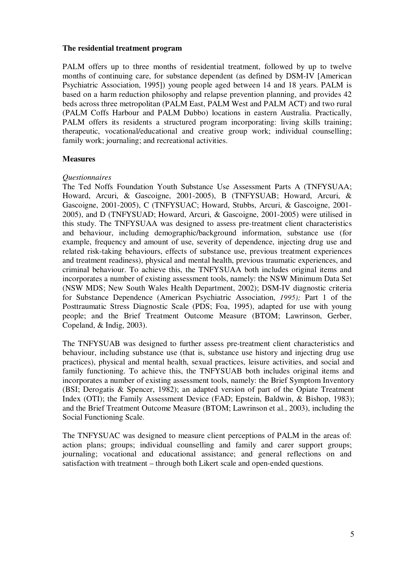#### **The residential treatment program**

PALM offers up to three months of residential treatment, followed by up to twelve months of continuing care, for substance dependent (as defined by DSM-IV [American Psychiatric Association, 1995]) young people aged between 14 and 18 years. PALM is based on a harm reduction philosophy and relapse prevention planning, and provides 42 beds across three metropolitan (PALM East, PALM West and PALM ACT) and two rural (PALM Coffs Harbour and PALM Dubbo) locations in eastern Australia. Practically, PALM offers its residents a structured program incorporating: living skills training; therapeutic, vocational/educational and creative group work; individual counselling; family work; journaling; and recreational activities.

### **Measures**

#### *Questionnaires*

The Ted Noffs Foundation Youth Substance Use Assessment Parts A (TNFYSUAA; Howard, Arcuri, & Gascoigne, 2001-2005), B (TNFYSUAB; Howard, Arcuri, & Gascoigne, 2001-2005), C (TNFYSUAC; Howard, Stubbs, Arcuri, & Gascoigne, 2001- 2005), and D (TNFYSUAD; Howard, Arcuri, & Gascoigne, 2001-2005) were utilised in this study. The TNFYSUAA was designed to assess pre-treatment client characteristics and behaviour, including demographic/background information, substance use (for example, frequency and amount of use, severity of dependence, injecting drug use and related risk-taking behaviours, effects of substance use, previous treatment experiences and treatment readiness), physical and mental health, previous traumatic experiences, and criminal behaviour. To achieve this, the TNFYSUAA both includes original items and incorporates a number of existing assessment tools, namely: the NSW Minimum Data Set (NSW MDS; New South Wales Health Department, 2002); DSM-IV diagnostic criteria for Substance Dependence (American Psychiatric Association, *1995);* Part 1 of the Posttraumatic Stress Diagnostic Scale (PDS; Foa, 1995), adapted for use with young people; and the Brief Treatment Outcome Measure (BTOM; Lawrinson, Gerber, Copeland, & Indig, 2003).

The TNFYSUAB was designed to further assess pre-treatment client characteristics and behaviour, including substance use (that is, substance use history and injecting drug use practices), physical and mental health, sexual practices, leisure activities, and social and family functioning. To achieve this, the TNFYSUAB both includes original items and incorporates a number of existing assessment tools, namely: the Brief Symptom Inventory (BSI; Derogatis & Spencer, 1982); an adapted version of part of the Opiate Treatment Index (OTI); the Family Assessment Device (FAD; Epstein, Baldwin, & Bishop, 1983); and the Brief Treatment Outcome Measure (BTOM; Lawrinson et al., 2003), including the Social Functioning Scale.

The TNFYSUAC was designed to measure client perceptions of PALM in the areas of: action plans; groups; individual counselling and family and carer support groups; journaling; vocational and educational assistance; and general reflections on and satisfaction with treatment – through both Likert scale and open-ended questions.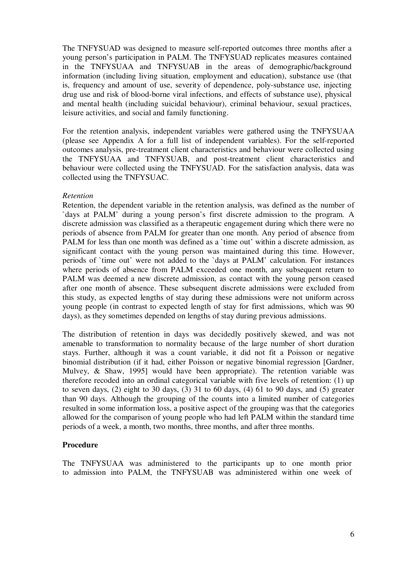The TNFYSUAD was designed to measure self-reported outcomes three months after a young person's participation in PALM. The TNFYSUAD replicates measures contained in the TNFYSUAA and TNFYSUAB in the areas of demographic/background information (including living situation, employment and education), substance use (that is, frequency and amount of use, severity of dependence, poly-substance use, injecting drug use and risk of blood-borne viral infections, and effects of substance use), physical and mental health (including suicidal behaviour), criminal behaviour, sexual practices, leisure activities, and social and family functioning.

For the retention analysis, independent variables were gathered using the TNFYSUAA (please see Appendix A for a full list of independent variables). For the self-reported outcomes analysis, pre-treatment client characteristics and behaviour were collected using the TNFYSUAA and TNFYSUAB, and post-treatment client characteristics and behaviour were collected using the TNFYSUAD. For the satisfaction analysis, data was collected using the TNFYSUAC.

#### *Retention*

Retention, the dependent variable in the retention analysis, was defined as the number of `days at PALM' during a young person's first discrete admission to the program. A discrete admission was classified as a therapeutic engagement during which there were no periods of absence from PALM for greater than one month. Any period of absence from PALM for less than one month was defined as a 'time out' within a discrete admission, as significant contact with the young person was maintained during this time. However, periods of `time out' were not added to the `days at PALM' calculation. For instances where periods of absence from PALM exceeded one month, any subsequent return to PALM was deemed a new discrete admission, as contact with the young person ceased after one month of absence. These subsequent discrete admissions were excluded from this study, as expected lengths of stay during these admissions were not uniform across young people (in contrast to expected length of stay for first admissions, which was 90 days), as they sometimes depended on lengths of stay during previous admissions.

The distribution of retention in days was decidedly positively skewed, and was not amenable to transformation to normality because of the large number of short duration stays. Further, although it was a count variable, it did not fit a Poisson or negative binomial distribution (if it had, either Poisson or negative binomial regression [Gardner, Mulvey, & Shaw, 1995] would have been appropriate). The retention variable was therefore recoded into an ordinal categorical variable with five levels of retention: (1) up to seven days,  $(2)$  eight to 30 days,  $(3)$  31 to 60 days,  $(4)$  61 to 90 days, and  $(5)$  greater than 90 days. Although the grouping of the counts into a limited number of categories resulted in some information loss, a positive aspect of the grouping was that the categories allowed for the comparison of young people who had left PALM within the standard time periods of a week, a month, two months, three months, and after three months.

## **Procedure**

The TNFYSUAA was administered to the participants up to one month prior to admission into PALM, the TNFYSUAB was administered within one week of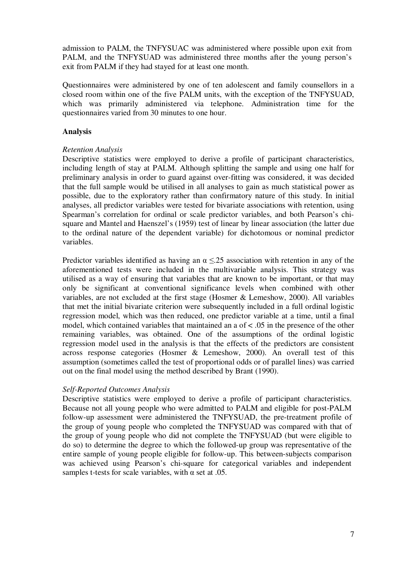admission to PALM, the TNFYSUAC was administered where possible upon exit from PALM, and the TNFYSUAD was administered three months after the young person's exit from PALM if they had stayed for at least one month.

Questionnaires were administered by one of ten adolescent and family counsellors in a closed room within one of the five PALM units, with the exception of the TNFYSUAD, which was primarily administered via telephone. Administration time for the questionnaires varied from 30 minutes to one hour.

## **Analysis**

### *Retention Analysis*

Descriptive statistics were employed to derive a profile of participant characteristics, including length of stay at PALM. Although splitting the sample and using one half for preliminary analysis in order to guard against over-fitting was considered, it was decided that the full sample would be utilised in all analyses to gain as much statistical power as possible, due to the exploratory rather than confirmatory nature of this study. In initial analyses, all predictor variables were tested for bivariate associations with retention, using Spearman's correlation for ordinal or scale predictor variables, and both Pearson's chisquare and Mantel and Haenszel's (1959) test of linear by linear association (the latter due to the ordinal nature of the dependent variable) for dichotomous or nominal predictor variables.

Predictor variables identified as having an  $\alpha \leq 25$  association with retention in any of the aforementioned tests were included in the multivariable analysis. This strategy was utilised as a way of ensuring that variables that are known to be important, or that may only be significant at conventional significance levels when combined with other variables, are not excluded at the first stage (Hosmer & Lemeshow, 2000). All variables that met the initial bivariate criterion were subsequently included in a full ordinal logistic regression model, which was then reduced, one predictor variable at a time, until a final model, which contained variables that maintained an a of < .05 in the presence of the other remaining variables, was obtained. One of the assumptions of the ordinal logistic regression model used in the analysis is that the effects of the predictors are consistent across response categories (Hosmer & Lemeshow, 2000). An overall test of this assumption (sometimes called the test of proportional odds or of parallel lines) was carried out on the final model using the method described by Brant (1990).

#### *Self-Reported Outcomes Analysis*

Descriptive statistics were employed to derive a profile of participant characteristics. Because not all young people who were admitted to PALM and eligible for post-PALM follow-up assessment were administered the TNFYSUAD, the pre-treatment profile of the group of young people who completed the TNFYSUAD was compared with that of the group of young people who did not complete the TNFYSUAD (but were eligible to do so) to determine the degree to which the followed-up group was representative of the entire sample of young people eligible for follow-up. This between-subjects comparison was achieved using Pearson's chi-square for categorical variables and independent samples t-tests for scale variables, with  $\alpha$  set at .05.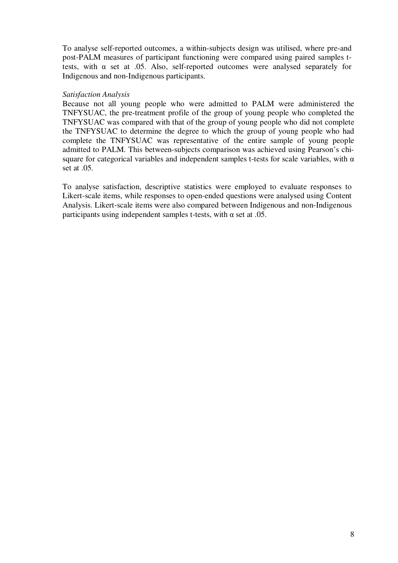To analyse self-reported outcomes, a within-subjects design was utilised, where pre-and post-PALM measures of participant functioning were compared using paired samples ttests, with  $\alpha$  set at .05. Also, self-reported outcomes were analysed separately for Indigenous and non-Indigenous participants.

#### *Satisfaction Analysis*

Because not all young people who were admitted to PALM were administered the TNFYSUAC, the pre-treatment profile of the group of young people who completed the TNFYSUAC was compared with that of the group of young people who did not complete the TNFYSUAC to determine the degree to which the group of young people who had complete the TNFYSUAC was representative of the entire sample of young people admitted to PALM. This between-subjects comparison was achieved using Pearson's chisquare for categorical variables and independent samples t-tests for scale variables, with  $\alpha$ set at .05.

To analyse satisfaction, descriptive statistics were employed to evaluate responses to Likert-scale items, while responses to open-ended questions were analysed using Content Analysis. Likert-scale items were also compared between Indigenous and non-Indigenous participants using independent samples t-tests, with  $\alpha$  set at .05.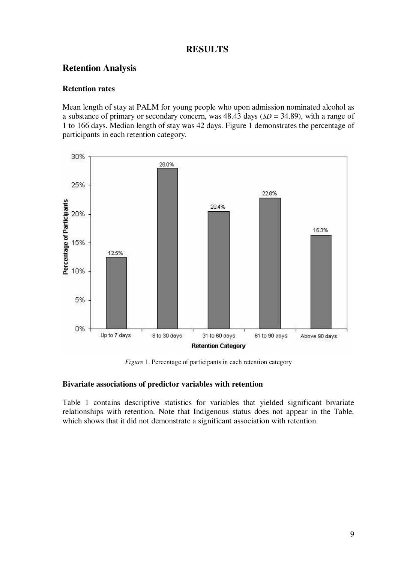## **RESULTS**

## **Retention Analysis**

### **Retention rates**

Mean length of stay at PALM for young people who upon admission nominated alcohol as a substance of primary or secondary concern, was 48.43 days (*SD* = 34.89), with a range of 1 to 166 days. Median length of stay was 42 days. Figure 1 demonstrates the percentage of participants in each retention category.



*Figure* 1. Percentage of participants in each retention category

#### **Bivariate associations of predictor variables with retention**

Table 1 contains descriptive statistics for variables that yielded significant bivariate relationships with retention. Note that Indigenous status does not appear in the Table, which shows that it did not demonstrate a significant association with retention.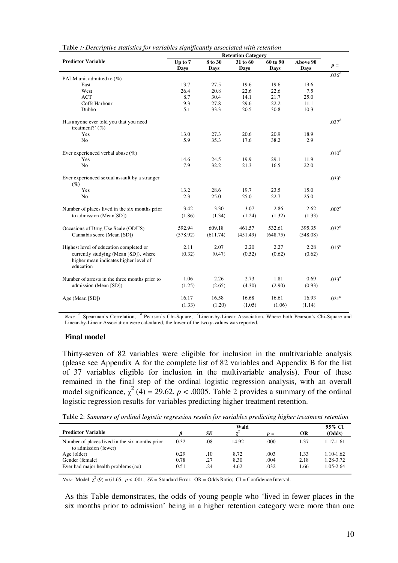|                                                               | <b>Retention Category</b> |             |             |             |             |                   |  |
|---------------------------------------------------------------|---------------------------|-------------|-------------|-------------|-------------|-------------------|--|
| <b>Predictor Variable</b>                                     | Up to 7                   | 8 to 30     | 31 to 60    | 60 to 90    | Above 90    |                   |  |
|                                                               | <b>Days</b>               | <b>Days</b> | <b>Days</b> | <b>Days</b> | <b>Days</b> | $p =$             |  |
| PALM unit admitted to $(\%)$                                  |                           |             |             |             |             | $.036^{b}$        |  |
| East                                                          | 13.7                      | 27.5        | 19.6        | 19.6        | 19.6        |                   |  |
| West                                                          | 26.4                      | 20.8        | 22.6        | 22.6        | 7.5         |                   |  |
| <b>ACT</b>                                                    | 8.7                       | 30.4        | 14.1        | 21.7        | 25.0        |                   |  |
| Coffs Harbour                                                 | 9.3                       | 27.8        | 29.6        | 22.2        | 11.1        |                   |  |
| Dubbo                                                         | 5.1                       | 33.3        | 20.5        | 30.8        | 10.3        |                   |  |
| Has anyone ever told you that you need<br>treatment?' $(\% )$ |                           |             |             |             |             | $.037^{b}$        |  |
| Yes                                                           | 13.0                      | 27.3        | 20.6        | 20.9        | 18.9        |                   |  |
| N <sub>o</sub>                                                | 5.9                       | 35.3        | 17.6        | 38.2        | 2.9         |                   |  |
|                                                               |                           |             |             |             |             |                   |  |
| Ever experienced verbal abuse $(\%)$                          |                           |             |             |             |             | .010 <sup>b</sup> |  |
| Yes                                                           | 14.6                      | 24.5        | 19.9        | 29.1        | 11.9        |                   |  |
| N <sub>o</sub>                                                | 7.9                       | 32.2        | 21.3        | 16.5        | 22.0        |                   |  |
| Ever experienced sexual assault by a stranger<br>$(\%)$       |                           |             |             |             |             | $.033^c$          |  |
| Yes                                                           | 13.2                      | 28.6        | 19.7        | 23.5        | 15.0        |                   |  |
| N <sub>o</sub>                                                | 2.3                       | 25.0        | 25.0        | 22.7        | 25.0        |                   |  |
| Number of places lived in the six months prior                | 3.42                      | 3.30        | 3.07        | 2.86        | 2.62        | .002 <sup>a</sup> |  |
| to admission (Mean[SD])                                       | (1.86)                    | (1.34)      | (1.24)      | (1.32)      | (1.33)      |                   |  |
| Occasions of Drug Use Scale (ODUS)                            | 592.94                    | 609.18      | 461.57      | 532.61      | 395.35      | .032 <sup>a</sup> |  |
| Cannabis score (Mean [SD])                                    | (578.92)                  | (611.74)    | (451.49)    | (648.75)    | (548.08)    |                   |  |
|                                                               |                           |             |             |             |             |                   |  |
| Highest level of education completed or                       | 2.11                      | 2.07        | 2.20        | 2.27        | 2.28        | $.015^a$          |  |
| currently studying (Mean [SD]), where                         | (0.32)                    | (0.47)      | (0.52)      | (0.62)      | (0.62)      |                   |  |
| higher mean indicates higher level of<br>education            |                           |             |             |             |             |                   |  |
| Number of arrests in the three months prior to                | 1.06                      | 2.26        | 2.73        | 1.81        | 0.69        | .033 <sup>a</sup> |  |
| admission (Mean [SD])                                         | (1.25)                    | (2.65)      | (4.30)      | (2.90)      | (0.93)      |                   |  |
|                                                               | 16.17                     | 16.58       | 16.68       | 16.61       | 16.93       |                   |  |
| Age (Mean [SD])                                               |                           |             |             |             |             | .021 <sup>a</sup> |  |
|                                                               | (1.33)                    | (1.20)      | (1.05)      | (1.06)      | (1.14)      |                   |  |

Table *1: Descriptive statistics for variables significantly associated with retention* 

Note. <sup>a</sup> Spearman's Correlation, <sup>b</sup> Pearson's Chi-Square, <sup>c</sup>Linear-by-Linear Association. Where both Pearson's Chi-Square and Linear-by-Linear Association were calculated, the lower of the two *p*-values was reported.

#### **Final model**

Thirty-seven of 82 variables were eligible for inclusion in the multivariable analysis (please see Appendix A for the complete list of 82 variables and Appendix B for the list of 37 variables eligible for inclusion in the multivariable analysis). Four of these remained in the final step of the ordinal logistic regression analysis, with an overall model significance,  $\chi^2$  (4) = 29.62, *p* < .0005. Table 2 provides a summary of the ordinal logistic regression results for variables predicting higher treatment retention.

Table 2: *Summary of ordinal logistic regression results for variables predicting higher treatment retention* 

|                                                                        |      |     | Wald  |       |      | 95% CI        |
|------------------------------------------------------------------------|------|-----|-------|-------|------|---------------|
| <b>Predictor Variable</b>                                              |      | SE  |       | $n =$ | OR   | (Odds)        |
| Number of places lived in the six months prior<br>to admission (fewer) | 0.32 | .08 | 14.92 | .000  | 1.37 | 1.17-1.61     |
| Age (older)                                                            | 0.29 | .10 | 8.72  | .003  | 1.33 | $1.10 - 1.62$ |
| Gender (female)                                                        | 0.78 | .27 | 8.30  | .004  | 2.18 | 1.28-3.72     |
| Ever had major health problems (no)                                    | 0.51 | .24 | 4.62  | .032  | 1.66 | 1.05-2.64     |

*Note.* Model:  $\chi^2$  (9) = 61.65, *p* < .001, *SE* = Standard Error; OR = Odds Ratio; CI = Confidence Interval.

As this Table demonstrates, the odds of young people who 'lived in fewer places in the six months prior to admission' being in a higher retention category were more than one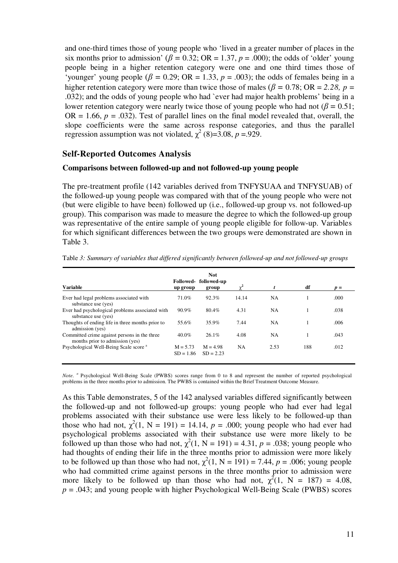and one-third times those of young people who 'lived in a greater number of places in the six months prior to admission' ( $\beta$  = 0.32; OR = 1.37,  $p$  = .000); the odds of 'older' young people being in a higher retention category were one and one third times those of 'younger' young people ( $\beta = 0.29$ ; OR = 1.33,  $p = .003$ ); the odds of females being in a higher retention category were more than twice those of males ( $\beta = 0.78$ ; OR = 2.28, p = .032); and the odds of young people who had `ever had major health problems' being in a lower retention category were nearly twice those of young people who had not ( $\beta = 0.51$ ;  $OR = 1.66$ ,  $p = .032$ ). Test of parallel lines on the final model revealed that, overall, the slope coefficients were the same across response categories, and thus the parallel regression assumption was not violated,  $\chi^2$  (8)=3.08, *p* =.929.

### **Self-Reported Outcomes Analysis**

#### **Comparisons between followed-up and not followed-up young people**

The pre-treatment profile (142 variables derived from TNFYSUAA and TNFYSUAB) of the followed-up young people was compared with that of the young people who were not (but were eligible to have been) followed up (i.e., followed-up group vs. not followed-up group). This comparison was made to measure the degree to which the followed-up group was representative of the entire sample of young people eligible for follow-up. Variables for which significant differences between the two groups were demonstrated are shown in Table 3.

|                                                                                 |                           | <b>Not</b><br>Followed-followed-up |           |           |     |       |
|---------------------------------------------------------------------------------|---------------------------|------------------------------------|-----------|-----------|-----|-------|
| <b>Variable</b>                                                                 | up group                  | group                              |           |           | df  | $p =$ |
| Ever had legal problems associated with<br>substance use (yes)                  | 71.0%                     | 92.3%                              | 14.14     | <b>NA</b> |     | .000  |
| Ever had psychological problems associated with<br>substance use (yes)          | 90.9%                     | 80.4%                              | 4.31      | NA        |     | .038  |
| Thoughts of ending life in three months prior to<br>admission (yes)             | 55.6%                     | 35.9%                              | 7.44      | NA        |     | .006  |
| Committed crime against persons in the three<br>months prior to admission (yes) | 40.0%                     | 26.1%                              | 4.08      | NA        |     | .043  |
| Psychological Well-Being Scale score <sup>a</sup>                               | $M = 5.73$<br>$SD = 1.86$ | $M = 4.98$<br>$SD = 2.23$          | <b>NA</b> | 2.53      | 188 | .012  |

Table *3: Summary of variables that differed significantly between followed-up and not followed-up groups* 

*Note.* <sup>*a*</sup> Psychological Well-Being Scale (PWBS) scores range from 0 to 8 and represent the number of reported psychological problems in the three months prior to admission. The PWBS is contained within the Brief Treatment Outcome Measure.

As this Table demonstrates, 5 of the 142 analysed variables differed significantly between the followed-up and not followed-up groups: young people who had ever had legal problems associated with their substance use were less likely to be followed-up than those who had not,  $\chi^2(1, N = 191) = 14.14$ ,  $p = .000$ ; young people who had ever had psychological problems associated with their substance use were more likely to be followed up than those who had not,  $\chi^2(1, N = 191) = 4.31$ ,  $p = .038$ ; young people who had thoughts of ending their life in the three months prior to admission were more likely to be followed up than those who had not,  $\chi^2(1, N = 191) = 7.44$ ,  $p = .006$ ; young people who had committed crime against persons in the three months prior to admission were more likely to be followed up than those who had not,  $\chi^2(1, N = 187) = 4.08$ , *p* = .043; and young people with higher Psychological Well-Being Scale (PWBS) scores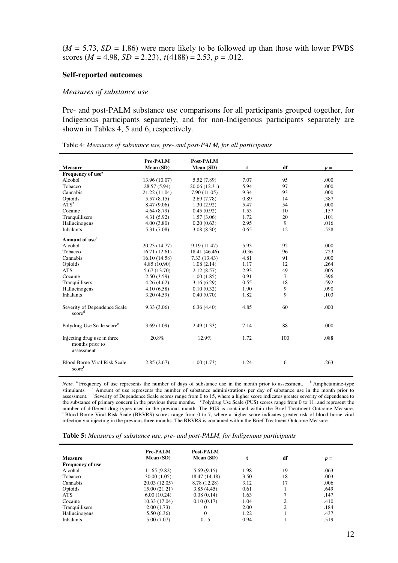$(M = 5.73, SD = 1.86)$  were more likely to be followed up than those with lower PWBS scores ( $M = 4.98$ ,  $SD = 2.23$ ),  $t(4188) = 2.53$ ,  $p = .012$ .

#### **Self-reported outcomes**

#### *Measures of substance use*

Pre- and post-PALM substance use comparisons for all participants grouped together, for Indigenous participants separately, and for non-Indigenous participants separately are shown in Tables 4, 5 and 6, respectively.

|                                                              | Pre-PALM      | Post-PALM     |         |        |       |
|--------------------------------------------------------------|---------------|---------------|---------|--------|-------|
| <b>Measure</b>                                               | Mean (SD)     | Mean (SD)     | t       | df     | $p =$ |
| Frequency of use <sup>a</sup>                                |               |               |         |        |       |
| Alcohol                                                      | 13.96 (10.07) | 5.52 (7.89)   | 7.07    | 95     | .000  |
| Tobacco                                                      | 28.57 (5.94)  | 20.06 (12.31) | 5.94    | 97     | .000  |
| Cannabis                                                     | 21.22 (11.04) | 7.90(11.05)   | 9.34    | 93     | .000  |
| Opioids                                                      | 5.57(8.15)    | 2.69(7.78)    | 0.89    | 14     | .387  |
| $ATS^b$                                                      | 8.47 (9.06)   | 1.30(2.92)    | 5.47    | 54     | .000  |
| Cocaine                                                      | 4.64(8.79)    | 0.45(0.92)    | 1.53    | 10     | .157  |
| Tranquillisers                                               | 4.31 (5.92)   | 1.57(3.06)    | 1.72    | 20     | .101  |
| Hallucinogens                                                | 4.00(3.80)    | 0.20(0.63)    | 2.95    | 9      | .016  |
| <b>Inhalants</b>                                             | 5.31 (7.08)   | 3.08(8.30)    | 0.65    | 12     | .528  |
| Amount of use <sup>c</sup>                                   |               |               |         |        |       |
| Alcohol                                                      | 20.23 (14.77) | 9.19 (11.47)  | 5.93    | 92     | .000  |
| Tobacco                                                      | 16.71(12.61)  | 18.41 (46.46) | $-0.36$ | 96     | .723  |
| Cannabis                                                     | 16.10 (14.58) | 7.33 (13.43)  | 4.81    | 91     | .000  |
| Opioids                                                      | 4.85(10.90)   | 1.08(2.14)    | 1.17    | 12     | .264  |
| <b>ATS</b>                                                   | 5.67 (13.70)  | 2.12(8.57)    | 2.93    | 49     | .005  |
| Cocaine                                                      | 2.50(3.59)    | 1.00(1.85)    | 0.91    | $\tau$ | .396  |
| Tranquillisers                                               | 4.26(4.62)    | 3.16(6.29)    | 0.55    | 18     | .592  |
| Hallucinogens                                                | 4.10(6.58)    | 0.10(0.32)    | 1.90    | 9      | .090  |
| <b>Inhalants</b>                                             | 3.20(4.59)    | 0.40(0.70)    | 1.82    | 9      | .103  |
| Severity of Dependence Scale<br>score <sup>d</sup>           | 9.33(3.06)    | 6.36(4.40)    | 4.85    | 60     | .000  |
| Polydrug Use Scale score <sup>e</sup>                        | 3.69(1.09)    | 2.49(1.33)    | 7.14    | 88     | .000  |
| Injecting drug use in three<br>months prior to<br>assessment | 20.8%         | 12.9%         | 1.72    | 100    | .088  |
| <b>Blood Borne Viral Risk Scale</b><br>scoref                | 2.85(2.67)    | 1.00(1.73)    | 1.24    | 6      | .263  |

Table 4: *Measures of substance use, pre- and post-PALM, for all participants*

*Note.* <sup>a</sup> Frequency of use represents the number of days of substance use in the month prior to assessment. b Amphetamine-type stimulants. <sup>c</sup>Amount of use represents the number of substance administrations per day of substance use in the month prior to assessment. <sup>d</sup>Severity of Dependence Scale scores range from 0 to 15, where a higher score indicates greater severity of dependence to the substance of primary concern in the previous three months. <sup>e</sup>Polydrug Use Scale (PUS) scores range from 0 to 11, and represent the number of different drug types used in the previous month. The PUS is contained within the Brief Treatment Outcome Measure. <sup>f</sup> Blood Borne Viral Risk Scale (BBVRS) scores range from 0 to 7, where a higher score indicates greater risk of blood borne viral infection via injecting in the previous three months. The BBVRS is contained within the Brief Treatment Outcome Measure.

| Table 5: Measures of substance use, pre- and post-PALM, for Indigenous participants |  |  |  |
|-------------------------------------------------------------------------------------|--|--|--|
|-------------------------------------------------------------------------------------|--|--|--|

|                         | Pre-PALM      | Post-PALM     |      |    |       |
|-------------------------|---------------|---------------|------|----|-------|
| <b>Measure</b>          | Mean(SD)      | Mean (SD)     |      | df | $p =$ |
| <b>Frequency of use</b> |               |               |      |    |       |
| Alcohol                 | 11.65 (9.82)  | 5.69(9.15)    | 1.98 | 19 | .063  |
| Tobacco                 | 30.00(1.05)   | 18.47 (14.18) | 3.50 | 18 | .003  |
| Cannabis                | 20.03 (12.05) | 8.78 (12.28)  | 3.12 | 17 | .006  |
| Opioids                 | 15.00 (21.21) | 3.85(4.45)    | 0.61 |    | .649  |
| ATS                     | 6.00(10.24)   | 0.08(0.14)    | 1.63 |    | .147  |
| Cocaine                 | 10.33(17.04)  | 0.10(0.17)    | 1.04 | ↑  | .410  |
| Tranquillisers          | 2.00(1.73)    | $\theta$      | 2.00 |    | .184  |
| Hallucinogens           | 5.50 (6.36)   | $\Omega$      | 1.22 |    | .437  |
| <b>Inhalants</b>        | 5.00 (7.07)   | 0.15          | 0.94 |    | .519  |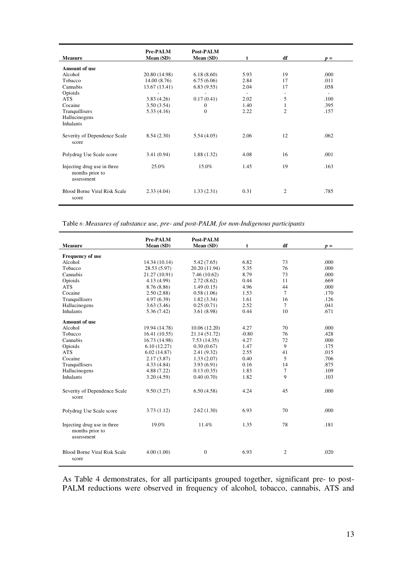| <b>Measure</b>                                               | Pre-PALM<br>Mean (SD) | Post-PALM<br>Mean (SD) | t      | df             | $p =$                    |
|--------------------------------------------------------------|-----------------------|------------------------|--------|----------------|--------------------------|
| <b>Amount of use</b>                                         |                       |                        |        |                |                          |
| Alcohol                                                      |                       |                        |        | 19             | .000                     |
|                                                              | 20.80 (14.98)         | 6.18(8.60)             | 5.93   |                |                          |
| Tobacco                                                      | 14.00(8.76)           | 6.75(6.06)             | 2.84   | 17             | .011                     |
| Cannabis                                                     | 13.67 (13.41)         | 6.83(9.55)             | 2.04   | 17             | .058                     |
| Opioids                                                      |                       |                        | $\sim$ |                | $\overline{\phantom{a}}$ |
| ATS                                                          | 3.83(4.26)            | 0.17(0.41)             | 2.02   | 5              | .100                     |
| Cocaine                                                      | 3.50(3.54)            | $\mathbf{0}$           | 1.40   | 1              | .395                     |
| Tranquillisers                                               | 5.33(4.16)            | $\Omega$               | 2.22   | $\overline{2}$ | .157                     |
| Hallucinogens                                                |                       |                        |        |                |                          |
| <b>Inhalants</b>                                             |                       |                        |        |                |                          |
| Severity of Dependence Scale<br>score                        | 8.54(2.30)            | 5.54(4.05)             | 2.06   | 12             | .062                     |
| Polydrug Use Scale score                                     | 3.41(0.94)            | 1.88(1.32)             | 4.08   | 16             | .001                     |
| Injecting drug use in three<br>months prior to<br>assessment | 25.0%                 | 15.0%                  | 1.45   | 19             | .163                     |
| Blood Borne Viral Risk Scale<br>score                        | 2.33(4.04)            | 1.33(2.31)             | 0.31   | 2              | .785                     |

Table *6: Measures of substance use, pre- and post-PALM, for non-Indigenous participants* 

|                                                              | Pre-PALM      | Post-PALM     |         |        |       |
|--------------------------------------------------------------|---------------|---------------|---------|--------|-------|
| Measure                                                      | Mean (SD)     | Mean (SD)     | t       | df     | $p =$ |
| <b>Frequency of use</b>                                      |               |               |         |        |       |
| Alcohol                                                      | 14.34 (10.14) | 5.42 (7.65)   | 6.82    | 73     | .000  |
| Tobacco                                                      | 28.53 (5.97)  | 20.20 (11.94) | 5.35    | 76     | .000  |
| Cannabis                                                     | 21.27 (10.91) | 7.46(10.62)   | 8.79    | 73     | .000  |
| Opioids                                                      | 4.13 (4.99)   | 2.72(8.62)    | 0.44    | 11     | .669  |
| <b>ATS</b>                                                   | 8.76 (8.86)   | 1.49(0.15)    | 4.96    | 44     | .000  |
| Cocaine                                                      | 2.50(2.88)    | 0.58(1.06)    | 1.53    | $\tau$ | .170  |
| Tranquillisers                                               | 4.97(6.39)    | 1.82(3.34)    | 1.61    | 16     | .126  |
| Hallucinogens                                                | 3.63(3.46)    | 0.25(0.71)    | 2.52    | $\tau$ | .041  |
| <b>Inhalants</b>                                             | 5.36 (7.42)   | 3.61 (8.98)   | 0.44    | 10     | .671  |
|                                                              |               |               |         |        |       |
| <b>Amount of use</b>                                         |               |               |         |        |       |
| Alcohol                                                      | 19.94 (14.78) | 10.06 (12.20) | 4.27    | 70     | .000  |
| Tobacco                                                      | 16.41(10.55)  | 21.14 (51.72) | $-0.80$ | 76     | .428  |
| Cannabis                                                     | 16.73 (14.98) | 7.53(14.35)   | 4.27    | 72     | .000  |
| Opioids                                                      | 6.10(12.27)   | 0.30(0.67)    | 1.47    | 9      | .175  |
| <b>ATS</b>                                                   | 6.02(14.87)   | 2.41(9.32)    | 2.55    | 41     | .015  |
| Cocaine                                                      | 2.17(3.87)    | 1.33(2.07)    | 0.40    | 5      | .706  |
| Tranquillisers                                               | 4.33(4.84)    | 3.93(6.91)    | 0.16    | 14     | .875  |
| Hallucinogens                                                | 4.88 (7.22)   | 0.13(0.35)    | 1.83    | $\tau$ | .109  |
| <b>Inhalants</b>                                             | 3.20(4.59)    | 0.40(0.70)    | 1.82    | 9      | .103  |
| Severity of Dependence Scale<br>score                        | 9.50(3.27)    | 6.50(4.58)    | 4.24    | 45     | .000  |
| Polydrug Use Scale score                                     | 3.73(1.12)    | 2.62(1.30)    | 6.93    | 70     | .000  |
| Injecting drug use in three<br>months prior to<br>assessment | 19.0%         | 11.4%         | 1.35    | 78     | .181  |
| <b>Blood Borne Viral Risk Scale</b><br>score                 | 4.00(1.00)    | $\mathbf{0}$  | 6.93    | 2      | .020  |

As Table 4 demonstrates, for all participants grouped together, significant pre- to post-PALM reductions were observed in frequency of alcohol, tobacco, cannabis, ATS and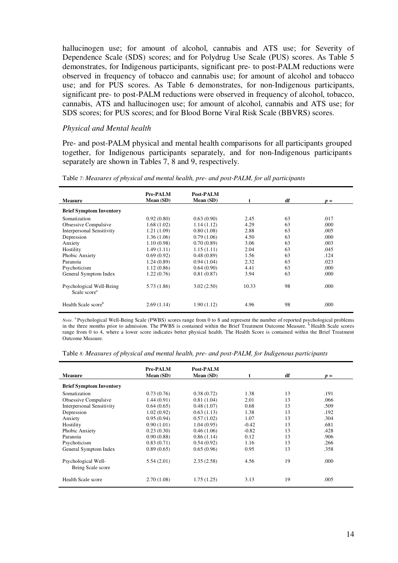hallucinogen use; for amount of alcohol, cannabis and ATS use; for Severity of Dependence Scale (SDS) scores; and for Polydrug Use Scale (PUS) scores. As Table 5 demonstrates, for Indigenous participants, significant pre- to post-PALM reductions were observed in frequency of tobacco and cannabis use; for amount of alcohol and tobacco use; and for PUS scores. As Table 6 demonstrates, for non-Indigenous participants, significant pre- to post-PALM reductions were observed in frequency of alcohol, tobacco, cannabis, ATS and hallucinogen use; for amount of alcohol, cannabis and ATS use; for SDS scores; for PUS scores; and for Blood Borne Viral Risk Scale (BBVRS) scores.

#### *Physical and Mental health*

Pre- and post-PALM physical and mental health comparisons for all participants grouped together, for Indigenous participants separately, and for non-Indigenous participants separately are shown in Tables 7, 8 and 9, respectively.

| <b>Measure</b>                                       | Pre-PALM<br>Mean(SD) | Post-PALM<br>Mean (SD) | t     | df | $\boldsymbol{v} =$ |
|------------------------------------------------------|----------------------|------------------------|-------|----|--------------------|
|                                                      |                      |                        |       |    |                    |
| <b>Brief Symptom Inventory</b>                       |                      |                        |       |    |                    |
| Somatization                                         | 0.92(0.80)           | 0.63(0.90)             | 2.45  | 63 | .017               |
| Obsessive Compulsive                                 | 1.68(1.02)           | 1.14(1.12)             | 4.29  | 63 | .000               |
| <b>Interpersonal Sensitivity</b>                     | 1.21(1.09)           | 0.80(1.08)             | 2.88  | 63 | .005               |
| Depression                                           | 1.36(1.06)           | 0.79(1.06)             | 4.50  | 63 | .000               |
| Anxiety                                              | 1.10(0.98)           | 0.70(0.89)             | 3.06  | 63 | .003               |
| Hostility                                            | 1.49(1.11)           | 1.15(1.11)             | 2.04  | 63 | .045               |
| Phobic Anxiety                                       | 0.69(0.92)           | 0.48(0.89)             | 1.56  | 63 | .124               |
| Paranoia                                             | 1.24(0.89)           | 0.94(1.04)             | 2.32  | 63 | .023               |
| Psychoticism                                         | 1.12(0.86)           | 0.64(0.90)             | 4.41  | 63 | .000               |
| General Symptom Index                                | 1.22(0.76)           | 0.81(0.87)             | 3.94  | 63 | .000               |
| Psychological Well-Being<br>Scale score <sup>a</sup> | 5.73(1.86)           | 3.02(2.50)             | 10.33 | 98 | .000               |
| Health Scale score <sup>b</sup>                      | 2.69(1.14)           | 1.90 (1.12)            | 4.96  | 98 | .000               |

Table *7: Measures of physical and mental health, pre- and post-PALM, for all participants* 

*Note.* <sup>a</sup>Psychological Well-Being Scale (PWBS) scores range from 0 to 8 and represent the number of reported psychological problems in the three months prior to admission. The PWBS is contained within the Brief Treatment Outcome Measure. <sup>b</sup> Health Scale scores range from 0 to 4, where a lower score indicates better physical health. The Health Score is contained within the Brief Treatment Outcome Measure.

| Table 8: Measures of physical and mental health, pre- and post-PALM, for Indigenous participants |  |  |  |  |
|--------------------------------------------------------------------------------------------------|--|--|--|--|
|                                                                                                  |  |  |  |  |

| <b>Measure</b>                           | Pre-PALM<br>Mean (SD) | Post-PALM<br>Mean (SD) | t.      | df | $p =$ |
|------------------------------------------|-----------------------|------------------------|---------|----|-------|
|                                          |                       |                        |         |    |       |
| <b>Brief Symptom Inventory</b>           |                       |                        |         |    |       |
| Somatization                             | 0.73(0.76)            | 0.38(0.72)             | 1.38    | 13 | .191  |
| Obsessive Compulsive                     | 1.44(0.91)            | 0.81(1.04)             | 2.01    | 13 | .066  |
| Interpersonal Sensitivity                | 0.64(0.65)            | 0.48(1.07)             | 0.68    | 13 | .509  |
| Depression                               | 1.02(0.92)            | 0.63(1.13)             | 1.38    | 13 | .192  |
| Anxiety                                  | 0.95(0.94)            | 0.57(1.02)             | 1.07    | 13 | .304  |
| Hostility                                | 0.90(1.01)            | 1.04(0.95)             | $-0.42$ | 13 | .681  |
| Phobic Anxiety                           | 0.23(0.30)            | 0.46(1.06)             | $-0.82$ | 13 | .428  |
| Paranoia                                 | 0.90(0.88)            | 0.86(1.14)             | 0.12    | 13 | .906  |
| Psychoticism                             | 0.83(0.71)            | 0.54(0.92)             | 1.16    | 13 | .266  |
| General Symptom Index                    | 0.89(0.65)            | 0.65(0.96)             | 0.95    | 13 | .358  |
| Psychological Well-<br>Being Scale score | 5.54(2.01)            | 2.35(2.58)             | 4.56    | 19 | .000  |
| Health Scale score                       | 2.70(1.08)            | 1.75(1.25)             | 3.13    | 19 | .005  |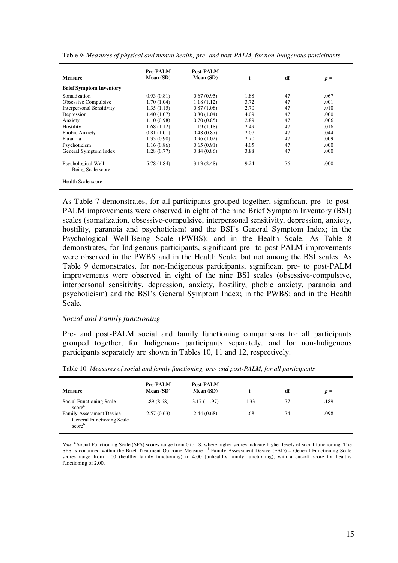| <b>Measure</b>                           | Pre-PALM<br>Mean(SD) | Post-PALM<br>Mean (SD) |      | df | $p =$ |
|------------------------------------------|----------------------|------------------------|------|----|-------|
| <b>Brief Symptom Inventory</b>           |                      |                        |      |    |       |
| Somatization                             | 0.93(0.81)           | 0.67(0.95)             | 1.88 | 47 | .067  |
| Obsessive Compulsive                     | 1.70 (1.04)          | 1.18(1.12)             | 3.72 | 47 | .001  |
| Interpersonal Sensitivity                | 1.35(1.15)           | 0.87(1.08)             | 2.70 | 47 | .010  |
| Depression                               | 1.40(1.07)           | 0.80(1.04)             | 4.09 | 47 | .000  |
| Anxiety                                  | 1.10(0.98)           | 0.70(0.85)             | 2.89 | 47 | .006  |
| Hostility                                | 1.68(1.12)           | 1.19(1.18)             | 2.49 | 47 | .016  |
| Phobic Anxiety                           | 0.81(1.01)           | 0.48(0.87)             | 2.07 | 47 | .044  |
| Paranoia                                 | 1.33 (0.90)          | 0.96(1.02)             | 2.70 | 47 | .009  |
| Psychoticism                             | 1.16(0.86)           | 0.65(0.91)             | 4.05 | 47 | .000  |
| General Symptom Index                    | 1.28(0.77)           | 0.84(0.86)             | 3.88 | 47 | .000  |
| Psychological Well-<br>Being Scale score | 5.78 (1.84)          | 3.13(2.48)             | 9.24 | 76 | .000  |
| Health Scale score                       |                      |                        |      |    |       |

Table *9: Measures of physical and mental health, pre- and post-PALM, for non-Indigenous participants* 

As Table 7 demonstrates, for all participants grouped together, significant pre- to post-PALM improvements were observed in eight of the nine Brief Symptom Inventory (BSI) scales (somatization, obsessive-compulsive, interpersonal sensitivity, depression, anxiety, hostility, paranoia and psychoticism) and the BSI's General Symptom Index; in the Psychological Well-Being Scale (PWBS); and in the Health Scale. As Table 8 demonstrates, for Indigenous participants, significant pre- to post-PALM improvements were observed in the PWBS and in the Health Scale, but not among the BSI scales. As Table 9 demonstrates, for non-Indigenous participants, significant pre- to post-PALM improvements were observed in eight of the nine BSI scales (obsessive-compulsive, interpersonal sensitivity, depression, anxiety, hostility, phobic anxiety, paranoia and psychoticism) and the BSI's General Symptom Index; in the PWBS; and in the Health Scale.

#### *Social and Family functioning*

Pre- and post-PALM social and family functioning comparisons for all participants grouped together, for Indigenous participants separately, and for non-Indigenous participants separately are shown in Tables 10, 11 and 12, respectively.

| Table 10: Measures of social and family functioning, pre- and post-PALM, for all participants |  |
|-----------------------------------------------------------------------------------------------|--|
|-----------------------------------------------------------------------------------------------|--|

| <b>Measure</b>                                                                     | <b>Pre-PALM</b><br>Mean(SD) | Post-PALM<br>Mean (SD) |         | df | $n =$ |
|------------------------------------------------------------------------------------|-----------------------------|------------------------|---------|----|-------|
| Social Functioning Scale<br>score <sup>a</sup>                                     | .89(8.68)                   | 3.17(11.97)            | $-1.33$ | 77 | .189  |
| <b>Family Assessment Device</b><br>General Functioning Scale<br>score <sup>b</sup> | 2.57(0.63)                  | 2.44(0.68)             | 1.68    | 74 | .098  |

*Note.* <sup>a</sup> Social Functioning Scale (SFS) scores range from 0 to 18, where higher scores indicate higher levels of social functioning. The SFS is contained within the Brief Treatment Outcome Measure.  $b$  Family Assessment Device (FAD) – General Functioning Scale scores range from 1.00 (healthy family functioning) to 4.00 (unhealthy family functioning), with a cut-off score for healthy functioning of 2.00.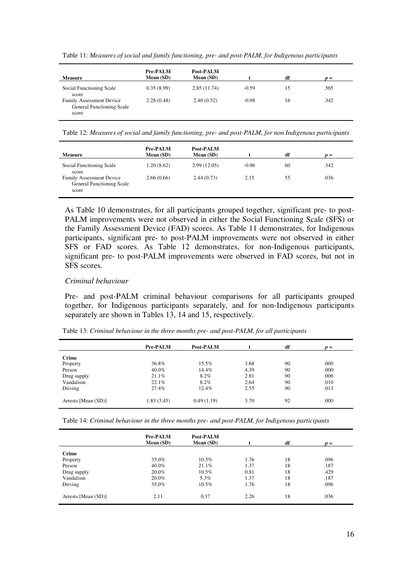| <b>Measure</b>                                                        | <b>Pre-PALM</b><br>Mean (SD) | <b>Post-PALM</b><br>Mean (SD) |         | df | $p =$ |
|-----------------------------------------------------------------------|------------------------------|-------------------------------|---------|----|-------|
| Social Functioning Scale<br>score                                     | 0.35(8.99)                   | 2.85(11.74)                   | $-0.59$ | 15 | .565  |
| <b>Family Assessment Device</b><br>General Functioning Scale<br>score | 2.28(0.48)                   | 2.40(0.52)                    | $-0.98$ | 16 | .342  |

Table 11: *Measures of social and family functioning, pre- and post-PALM, for Indigenous participants* 

Table 12: *Measures of social and family functioning, pre- and post-PALM, for non Indigenous participants* 

| <b>Measure</b>                                                        | <b>Pre-PALM</b><br>Mean(SD) | Post-PALM<br>Mean (SD) |         | df | $n =$ |
|-----------------------------------------------------------------------|-----------------------------|------------------------|---------|----|-------|
| Social Functioning Scale<br>score                                     | 1.20(8.62)                  | 2.99(12.05)            | $-0.96$ | 60 | .342  |
| <b>Family Assessment Device</b><br>General Functioning Scale<br>score | 2.66(0.66)                  | 2.44(0.73)             | 2.15    | 55 | .036  |

As Table 10 demonstrates, for all participants grouped together, significant pre- to post-PALM improvements were not observed in either the Social Functioning Scale (SFS) or the Family Assessment Device (FAD) scores. As Table 11 demonstrates, for Indigenous participants, significant pre- to post-PALM improvements were not observed in either SFS or FAD scores. As Table 12 demonstrates, for non-Indigenous participants, significant pre- to post-PALM improvements were observed in FAD scores, but not in SFS scores.

#### *Criminal behaviour*

Pre- and post-PALM criminal behaviour comparisons for all participants grouped together, for Indigenous participants separately, and for non-Indigenous participants separately are shown in Tables 13, 14 and 15, respectively.

|                     | Pre-PALM    | Post-PALM  |      | df | $p =$ |
|---------------------|-------------|------------|------|----|-------|
| <b>Crime</b>        |             |            |      |    |       |
| Property            | 36.8%       | 15.5%      | 3.68 | 90 | .000  |
| Person              | 40.0%       | 14.4%      | 4.39 | 90 | .000  |
| Drug supply         | 21.1%       | 8.2%       | 2.81 | 90 | .006  |
| Vandalism           | 22.1%       | 8.2%       | 2.64 | 90 | .010  |
| Driving             | 27.4%       | 12.4%      | 2.55 | 90 | .013  |
| Arrests [Mean (SD)] | 1.83 (3.45) | 0.49(1.19) | 3.70 | 92 | .000  |

Table 13: *Criminal behaviour in the three months pre- and post-PALM, for all participants* 

Table 14: *Criminal behaviour in the three months pre- and post-PALM, for Indigenous participants* 

|                     | Pre-PALM<br>Mean(SD) | <b>Post-PALM</b><br>Mean (SD) |      | df | $p =$ |
|---------------------|----------------------|-------------------------------|------|----|-------|
| <b>Crime</b>        |                      |                               |      |    |       |
| Property            | 35.0%                | $10.5\%$                      | 1.76 | 18 | .096  |
| Person              | 40.0%                | 21.1%                         | 1.37 | 18 | .187  |
| Drug supply         | 20.0%                | $10.5\%$                      | 0.81 | 18 | .429  |
| Vandalism           | 20.0%                | 5.3%                          | 1.37 | 18 | .187  |
| Driving             | 35.0%                | $10.5\%$                      | 1.76 | 18 | .096  |
| Arrests [Mean (SD)] | 2.11                 | 0.37                          | 2.26 | 18 | .036  |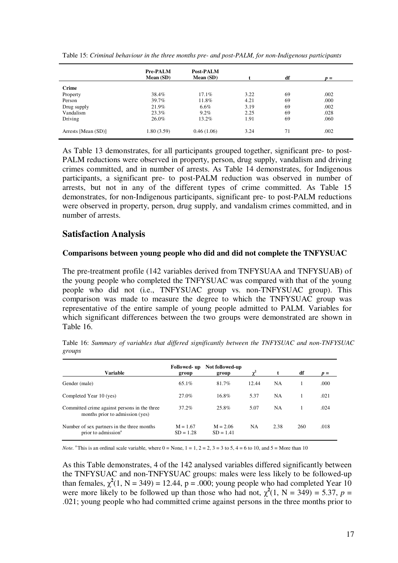|                     | Pre-PALM<br>Mean(SD) | Post-PALM<br>Mean (SD) |      | df | $p =$ |
|---------------------|----------------------|------------------------|------|----|-------|
| <b>Crime</b>        |                      |                        |      |    |       |
| Property            | 38.4%                | 17.1%                  | 3.22 | 69 | .002  |
| Person              | 39.7%                | 11.8%                  | 4.21 | 69 | .000  |
| Drug supply         | 21.9%                | $6.6\%$                | 3.19 | 69 | .002  |
| Vandalism           | 23.3%                | $9.2\%$                | 2.25 | 69 | .028  |
| Driving             | 26.0%                | 13.2%                  | 1.91 | 69 | .060  |
| Arrests [Mean (SD)] | 1.80(3.59)           | 0.46(1.06)             | 3.24 | 71 | .002  |

Table 15: *Criminal behaviour in the three months pre- and post-PALM, for non-Indigenous participants* 

As Table 13 demonstrates, for all participants grouped together, significant pre- to post-PALM reductions were observed in property, person, drug supply, vandalism and driving crimes committed, and in number of arrests. As Table 14 demonstrates, for Indigenous participants, a significant pre- to post-PALM reduction was observed in number of arrests, but not in any of the different types of crime committed. As Table 15 demonstrates, for non-Indigenous participants, significant pre- to post-PALM reductions were observed in property, person, drug supply, and vandalism crimes committed, and in number of arrests.

## **Satisfaction Analysis**

### **Comparisons between young people who did and did not complete the TNFYSUAC**

The pre-treatment profile (142 variables derived from TNFYSUAA and TNFYSUAB) of the young people who completed the TNFYSUAC was compared with that of the young people who did not (i.e., TNFYSUAC group vs. non-TNFYSUAC group). This comparison was made to measure the degree to which the TNFYSUAC group was representative of the entire sample of young people admitted to PALM. Variables for which significant differences between the two groups were demonstrated are shown in Table 16.

Table 16: *Summary of variables that differed significantly between the TNFYSUAC and non-TNFYSUAC groups* 

| <b>Variable</b>                                                                 | Followed-up<br>group      | Not followed-up<br>group  |           |           | df  | $\boldsymbol{v} =$ |
|---------------------------------------------------------------------------------|---------------------------|---------------------------|-----------|-----------|-----|--------------------|
| Gender (male)                                                                   | 65.1%                     | 81.7%                     | 12.44     | <b>NA</b> |     | .000               |
| Completed Year 10 (yes)                                                         | 27.0%                     | 16.8%                     | 5.37      | NA.       |     | .021               |
| Committed crime against persons in the three<br>months prior to admission (yes) | 37.2%                     | 25.8%                     | 5.07      | <b>NA</b> |     | .024               |
| Number of sex partners in the three months<br>prior to admission <sup>a</sup>   | $M = 1.67$<br>$SD = 1.28$ | $M = 2.06$<br>$SD = 1.41$ | <b>NA</b> | 2.38      | 260 | .018               |

*Note.* <sup>a</sup>This is an ordinal scale variable, where  $0 =$  None,  $1 = 1$ ,  $2 = 2$ ,  $3 = 3$  to  $5$ ,  $4 = 6$  to 10, and  $5 =$  More than 10

As this Table demonstrates, 4 of the 142 analysed variables differed significantly between the TNFYSUAC and non-TNFYSUAC groups: males were less likely to be followed-up than females,  $\chi^2(1, N = 349) = 12.44$ ,  $p = .000$ ; young people who had completed Year 10 were more likely to be followed up than those who had not,  $\chi^2(1, N = 349) = 5.37$ ,  $p =$ .021; young people who had committed crime against persons in the three months prior to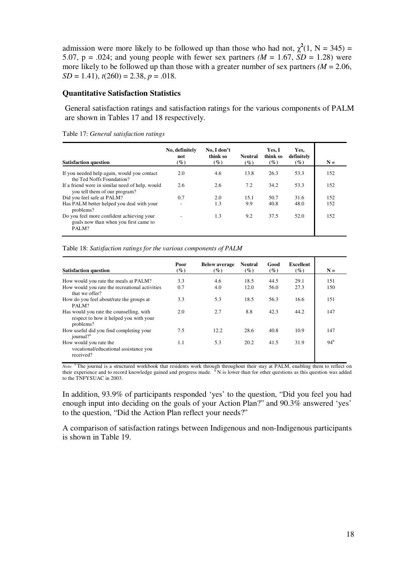admission were more likely to be followed up than those who had not,  $\chi^2(1, N = 345) =$ 5.07,  $p = .024$ ; and young people with fewer sex partners  $(M = 1.67, SD = 1.28)$  were more likely to be followed up than those with a greater number of sex partners  $(M = 2.06$ , *SD* = 1.41), *t*(260) = 2.38, *p* = .018.

#### **Quantitative Satisfaction Statistics**

General satisfaction ratings and satisfaction ratings for the various components of PALM are shown in Tables 17 and 18 respectively.

| <b>Satisfaction question</b>                                                                | No, definitely<br>not<br>$(\%)$ | No, I don't<br>think so<br>$(\%)$ | <b>Neutral</b><br>$(\%)$ | Yes. I<br>think so<br>$(\%)$ | Yes.<br>definitely<br>$($ %) | $N =$ |
|---------------------------------------------------------------------------------------------|---------------------------------|-----------------------------------|--------------------------|------------------------------|------------------------------|-------|
| If you needed help again, would you contact<br>the Ted Noffs Foundation?                    | 2.0                             | 4.6                               | 13.8                     | 26.3                         | 53.3                         | 152   |
| If a friend were in similar need of help, would<br>you tell them of our program?            | 2.6                             | 2.6                               | 7.2                      | 34.2                         | 53.3                         | 152   |
| Did you feel safe at PALM?                                                                  | 0.7                             | 2.0                               | 15.1                     | 50.7                         | 31.6                         | 152   |
| Has PALM better helped you deal with your<br>problems?                                      |                                 | 1.3                               | 9.9                      | 40.8                         | 48.0                         | 152   |
| Do you feel more confident achieving your<br>goals now than when you first came to<br>PALM? |                                 | 1.3                               | 9.2                      | 37.5                         | 52.0                         | 152   |

Table 17: *General satisfaction ratings* 

Table 18: *Satisfaction ratings for the various components of PALM* 

| <b>Satisfaction question</b>                                                                    | Poor<br>$(\%)$ | <b>Below average</b><br>(%) | <b>Neutral</b><br>$($ %) | Good<br>$(\%)$ | <b>Excellent</b><br>$(\%)$ | $N =$           |
|-------------------------------------------------------------------------------------------------|----------------|-----------------------------|--------------------------|----------------|----------------------------|-----------------|
| How would you rate the meals at PALM?                                                           | 3.3            | 4.6                         | 18.5                     | 44.5           | 29.1                       | 151             |
| How would you rate the recreational activities<br>that we offer?                                | 0.7            | 4.0                         | 12.0                     | 56.0           | 27.3                       | 150             |
| How do you feel about/rate the groups at<br>PALM?                                               | 3.3            | 5.3                         | 18.5                     | 56.3           | 16.6                       | 151             |
| Has would you rate the counselling, with<br>respect to how it helped you with your<br>problems? | 2.0            | 2.7                         | 8.8                      | 42.3           | 44.2                       | 147             |
| How useful did you find completing your<br>journal? <sup>a</sup>                                | 7.5            | 12.2                        | 28.6                     | 40.8           | 10.9                       | 147             |
| How would you rate the<br>vocational/educational assistance you<br>received?                    | 1.1            | 5.3                         | 20.2                     | 41.5           | 31.9                       | 94 <sup>b</sup> |

*Note.* <sup>a</sup>The journal is a structured workbook that residents work through throughout their stay at PALM, enabling them to reflect on their experience and to record knowledge gained and progress made.  $\bar{b}N$  is lower than for other questions as this question was added to the TNFYSUAC in 2003.

In addition, 93.9% of participants responded 'yes' to the question, "Did you feel you had enough input into deciding on the goals of your Action Plan?" and 90.3% answered 'yes' to the question, "Did the Action Plan reflect your needs?"

A comparison of satisfaction ratings between Indigenous and non-Indigenous participants is shown in Table 19.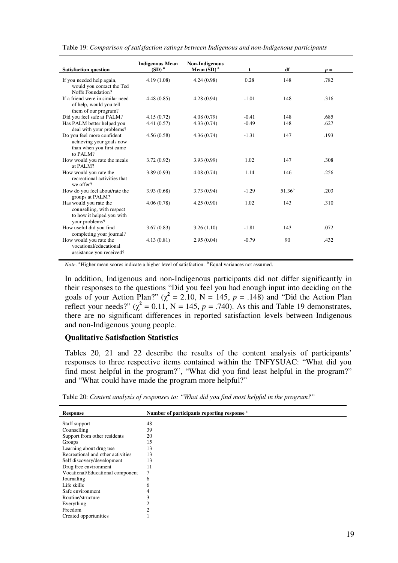| <b>Satisfaction question</b>                                                                       | <b>Indigenous Mean</b><br>(SD) <sup>a</sup> | Non-Indigenous<br>Mean (SD) <sup>a</sup> | t       | df          | $p =$ |
|----------------------------------------------------------------------------------------------------|---------------------------------------------|------------------------------------------|---------|-------------|-------|
| If you needed help again,<br>would you contact the Ted<br>Noffs Foundation?                        | 4.19 (1.08)                                 | 4.24 (0.98)                              | 0.28    | 148         | .782  |
| If a friend were in similar need<br>of help, would you tell<br>them of our program?                | 4.48(0.85)                                  | 4.28(0.94)                               | $-1.01$ | 148         | .316  |
| Did you feel safe at PALM?                                                                         | 4.15(0.72)                                  | 4.08(0.79)                               | $-0.41$ | 148         | .685  |
| Has PALM better helped you<br>deal with your problems?                                             | 4.41 (0.57)                                 | 4.33(0.74)                               | $-0.49$ | 148         | .627  |
| Do you feel more confident<br>achieving your goals now<br>than when you first came<br>to PALM?     | 4.56(0.58)                                  | 4.36(0.74)                               | $-1.31$ | 147         | .193  |
| How would you rate the meals<br>at PALM?                                                           | 3.72(0.92)                                  | 3.93(0.99)                               | 1.02    | 147         | .308  |
| How would you rate the<br>recreational activities that<br>we offer?                                | 3.89 (0.93)                                 | 4.08(0.74)                               | 1.14    | 146         | .256  |
| How do you feel about/rate the<br>groups at PALM?                                                  | 3.93 (0.68)                                 | 3.73(0.94)                               | $-1.29$ | $51.36^{b}$ | .203  |
| Has would you rate the<br>counselling, with respect<br>to how it helped you with<br>your problems? | 4.06(0.78)                                  | 4.25(0.90)                               | 1.02    | 143         | .310  |
| How useful did you find<br>completing your journal?                                                | 3.67(0.83)                                  | 3.26(1.10)                               | $-1.81$ | 143         | .072  |
| How would you rate the<br>vocational/educational<br>assistance you received?                       | 4.13(0.81)                                  | 2.95(0.04)                               | $-0.79$ | 90          | .432  |

Table 19: *Comparison of satisfaction ratings between Indigenous and non-Indigenous participants* 

*Note.* <sup>a</sup>Higher mean scores indicate a higher level of satisfaction. <sup>b</sup>Equal variances not assumed.

In addition, Indigenous and non-Indigenous participants did not differ significantly in their responses to the questions "Did you feel you had enough input into deciding on the goals of your Action Plan?" ( $\chi^2 = 2.10$ , N = 145, p = .148) and "Did the Action Plan reflect your needs?"  $(\chi^2 = 0.11, N = 145, p = .740)$ . As this and Table 19 demonstrates, there are no significant differences in reported satisfaction levels between Indigenous and non-Indigenous young people.

#### **Qualitative Satisfaction Statistics**

Tables 20, 21 and 22 describe the results of the content analysis of participants' responses to three respective items contained within the TNFYSUAC: "What did you find most helpful in the program?", "What did you find least helpful in the program?" and "What could have made the program more helpful?"

| Table 20: Content analysis of responses to: "What did you find most helpful in the program?" |  |  |  |
|----------------------------------------------------------------------------------------------|--|--|--|
|                                                                                              |  |  |  |

| <b>Response</b>                   | Number of participants reporting response <sup>a</sup> |
|-----------------------------------|--------------------------------------------------------|
| Staff support                     | 48                                                     |
| Counselling                       | 39                                                     |
| Support from other residents      | 20                                                     |
| Groups                            | 15                                                     |
| Learning about drug use           | 13                                                     |
| Recreational and other activities | 13                                                     |
| Self discovery/development        | 13                                                     |
| Drug free environment             | 11                                                     |
| Vocational/Educational component  |                                                        |
| Journaling                        | 6                                                      |
| Life skills                       | 6                                                      |
| Safe environment                  | 4                                                      |
| Routine/structure                 | 3                                                      |
| Everything                        | 2                                                      |
| Freedom                           | 2                                                      |
| Created opportunities             |                                                        |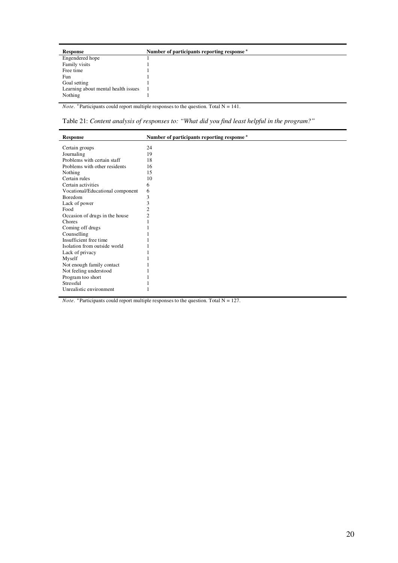| <b>Response</b>                     | Number of participants reporting response <sup>a</sup> |
|-------------------------------------|--------------------------------------------------------|
| Engendered hope                     |                                                        |
| Family visits                       |                                                        |
| Free time                           |                                                        |
| Fun                                 |                                                        |
| Goal setting                        |                                                        |
| Learning about mental health issues |                                                        |
| Nothing                             |                                                        |

*Note.* <sup>a</sup> Participants could report multiple responses to the question. Total N = 141.

Table 21: *Content analysis of responses to: "What did you find least helpful in the program?"* 

| <b>Response</b>                  | Number of participants reporting response <sup>a</sup> |
|----------------------------------|--------------------------------------------------------|
| Certain groups                   | 24                                                     |
|                                  | 19                                                     |
| Journaling                       |                                                        |
| Problems with certain staff      | 18                                                     |
| Problems with other residents    | 16                                                     |
| Nothing                          | 15                                                     |
| Certain rules                    | 10                                                     |
| Certain activities               | 6                                                      |
| Vocational/Educational component | 6                                                      |
| <b>Boredom</b>                   | 3                                                      |
| Lack of power                    | 3                                                      |
| Food                             | $\overline{c}$                                         |
| Occasion of drugs in the house   | 2                                                      |
| Chores                           |                                                        |
| Coming off drugs                 |                                                        |
| Counselling                      |                                                        |
| Insufficient free time           |                                                        |
| Isolation from outside world     |                                                        |
| Lack of privacy                  |                                                        |
| Myself                           |                                                        |
| Not enough family contact        |                                                        |
| Not feeling understood           |                                                        |
| Program too short                |                                                        |
| Stressful                        |                                                        |
| Unrealistic environment          |                                                        |

*Note.* <sup>a</sup> Participants could report multiple responses to the question. Total N = 127.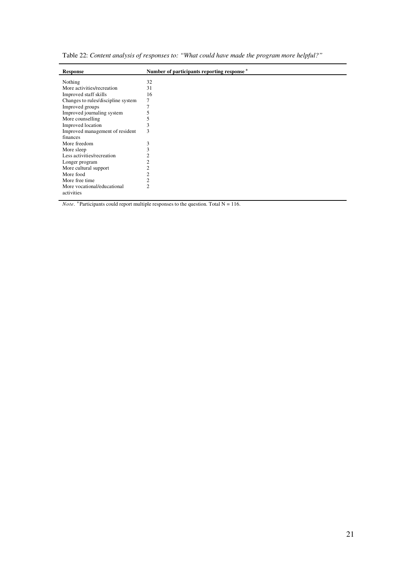| <b>Response</b>                           | Number of participants reporting response <sup>a</sup> |
|-------------------------------------------|--------------------------------------------------------|
| Nothing                                   | 32                                                     |
| More activities/recreation                | 31                                                     |
| Improved staff skills                     | 16                                                     |
| Changes to rules/discipline system        | 7                                                      |
| Improved groups                           |                                                        |
| Improved journaling system                | €                                                      |
| More counselling                          |                                                        |
| Improved location                         | 3                                                      |
| Improved management of resident           | 3                                                      |
| finances                                  |                                                        |
| More freedom                              | 3                                                      |
| More sleep                                | 3                                                      |
| Less activities/recreation                | 2                                                      |
| Longer program                            | 2                                                      |
| More cultural support                     | 2                                                      |
| More food                                 | $\overline{c}$                                         |
| More free time                            | 2                                                      |
| More vocational/educational<br>activities | $\overline{c}$                                         |
|                                           |                                                        |

Table 22: *Content analysis of responses to: "What could have made the program more helpful?"* 

*Note.* <sup>a</sup> Participants could report multiple responses to the question. Total  $N = 116$ .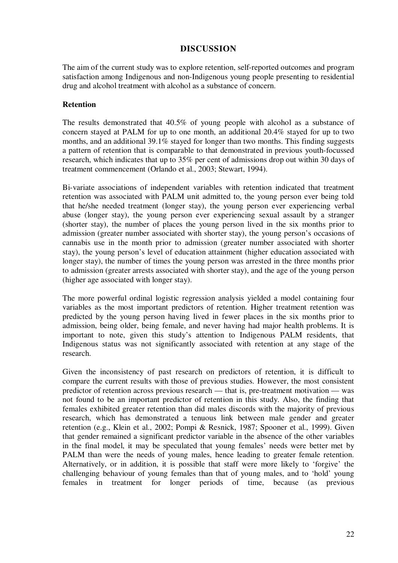## **DISCUSSION**

The aim of the current study was to explore retention, self-reported outcomes and program satisfaction among Indigenous and non-Indigenous young people presenting to residential drug and alcohol treatment with alcohol as a substance of concern.

### **Retention**

The results demonstrated that 40.5% of young people with alcohol as a substance of concern stayed at PALM for up to one month, an additional 20.4% stayed for up to two months, and an additional 39.1% stayed for longer than two months. This finding suggests a pattern of retention that is comparable to that demonstrated in previous youth-focussed research, which indicates that up to 35% per cent of admissions drop out within 30 days of treatment commencement (Orlando et al., 2003; Stewart, 1994).

Bi-variate associations of independent variables with retention indicated that treatment retention was associated with PALM unit admitted to, the young person ever being told that he/she needed treatment (longer stay), the young person ever experiencing verbal abuse (longer stay), the young person ever experiencing sexual assault by a stranger (shorter stay), the number of places the young person lived in the six months prior to admission (greater number associated with shorter stay), the young person's occasions of cannabis use in the month prior to admission (greater number associated with shorter stay), the young person's level of education attainment (higher education associated with longer stay), the number of times the young person was arrested in the three months prior to admission (greater arrests associated with shorter stay), and the age of the young person (higher age associated with longer stay).

The more powerful ordinal logistic regression analysis yielded a model containing four variables as the most important predictors of retention. Higher treatment retention was predicted by the young person having lived in fewer places in the six months prior to admission, being older, being female, and never having had major health problems. It is important to note, given this study's attention to Indigenous PALM residents, that Indigenous status was not significantly associated with retention at any stage of the research.

Given the inconsistency of past research on predictors of retention, it is difficult to compare the current results with those of previous studies. However, the most consistent predictor of retention across previous research — that is, pre-treatment motivation — was not found to be an important predictor of retention in this study. Also, the finding that females exhibited greater retention than did males discords with the majority of previous research, which has demonstrated a tenuous link between male gender and greater retention (e.g., Klein et al., 2002; Pompi & Resnick, 1987; Spooner et al., 1999). Given that gender remained a significant predictor variable in the absence of the other variables in the final model, it may be speculated that young females' needs were better met by PALM than were the needs of young males, hence leading to greater female retention. Alternatively, or in addition, it is possible that staff were more likely to 'forgive' the challenging behaviour of young females than that of young males, and to 'hold' young females in treatment for longer periods of time, because (as previous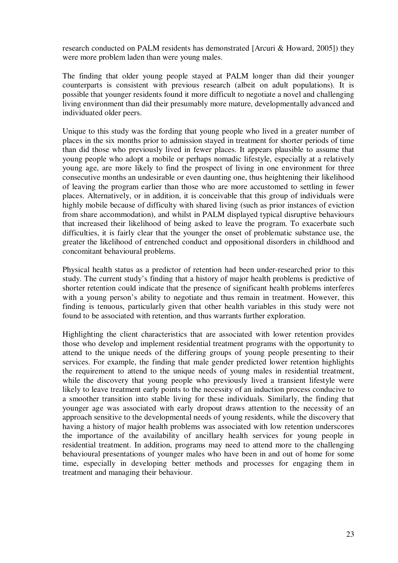research conducted on PALM residents has demonstrated [Arcuri & Howard, 2005]) they were more problem laden than were young males.

The finding that older young people stayed at PALM longer than did their younger counterparts is consistent with previous research (albeit on adult populations). It is possible that younger residents found it more difficult to negotiate a novel and challenging living environment than did their presumably more mature, developmentally advanced and individuated older peers.

Unique to this study was the fording that young people who lived in a greater number of places in the six months prior to admission stayed in treatment for shorter periods of time than did those who previously lived in fewer places. It appears plausible to assume that young people who adopt a mobile or perhaps nomadic lifestyle, especially at a relatively young age, are more likely to find the prospect of living in one environment for three consecutive months an undesirable or even daunting one, thus heightening their likelihood of leaving the program earlier than those who are more accustomed to settling in fewer places. Alternatively, or in addition, it is conceivable that this group of individuals were highly mobile because of difficulty with shared living (such as prior instances of eviction from share accommodation), and whilst in PALM displayed typical disruptive behaviours that increased their likelihood of being asked to leave the program. To exacerbate such difficulties, it is fairly clear that the younger the onset of problematic substance use, the greater the likelihood of entrenched conduct and oppositional disorders in childhood and concomitant behavioural problems.

Physical health status as a predictor of retention had been under-researched prior to this study. The current study's finding that a history of major health problems is predictive of shorter retention could indicate that the presence of significant health problems interferes with a young person's ability to negotiate and thus remain in treatment. However, this finding is tenuous, particularly given that other health variables in this study were not found to be associated with retention, and thus warrants further exploration.

Highlighting the client characteristics that are associated with lower retention provides those who develop and implement residential treatment programs with the opportunity to attend to the unique needs of the differing groups of young people presenting to their services. For example, the finding that male gender predicted lower retention highlights the requirement to attend to the unique needs of young males in residential treatment, while the discovery that young people who previously lived a transient lifestyle were likely to leave treatment early points to the necessity of an induction process conducive to a smoother transition into stable living for these individuals. Similarly, the finding that younger age was associated with early dropout draws attention to the necessity of an approach sensitive to the developmental needs of young residents, while the discovery that having a history of major health problems was associated with low retention underscores the importance of the availability of ancillary health services for young people in residential treatment. In addition, programs may need to attend more to the challenging behavioural presentations of younger males who have been in and out of home for some time, especially in developing better methods and processes for engaging them in treatment and managing their behaviour.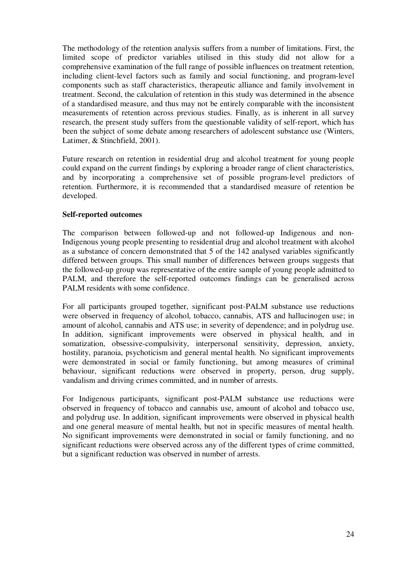The methodology of the retention analysis suffers from a number of limitations. First, the limited scope of predictor variables utilised in this study did not allow for a comprehensive examination of the full range of possible influences on treatment retention, including client-level factors such as family and social functioning, and program-level components such as staff characteristics, therapeutic alliance and family involvement in treatment. Second, the calculation of retention in this study was determined in the absence of a standardised measure, and thus may not be entirely comparable with the inconsistent measurements of retention across previous studies. Finally, as is inherent in all survey research, the present study suffers from the questionable validity of self-report, which has been the subject of some debate among researchers of adolescent substance use (Winters, Latimer, & Stinchfield, 2001).

Future research on retention in residential drug and alcohol treatment for young people could expand on the current findings by exploring a broader range of client characteristics, and by incorporating a comprehensive set of possible program-level predictors of retention. Furthermore, it is recommended that a standardised measure of retention be developed.

### **Self-reported outcomes**

The comparison between followed-up and not followed-up Indigenous and non-Indigenous young people presenting to residential drug and alcohol treatment with alcohol as a substance of concern demonstrated that 5 of the 142 analysed variables significantly differed between groups. This small number of differences between groups suggests that the followed-up group was representative of the entire sample of young people admitted to PALM, and therefore the self-reported outcomes findings can be generalised across PALM residents with some confidence.

For all participants grouped together, significant post-PALM substance use reductions were observed in frequency of alcohol, tobacco, cannabis, ATS and hallucinogen use; in amount of alcohol, cannabis and ATS use; in severity of dependence; and in polydrug use. In addition, significant improvements were observed in physical health, and in somatization, obsessive-compulsivity, interpersonal sensitivity, depression, anxiety, hostility, paranoia, psychoticism and general mental health. No significant improvements were demonstrated in social or family functioning, but among measures of criminal behaviour, significant reductions were observed in property, person, drug supply, vandalism and driving crimes committed, and in number of arrests.

For Indigenous participants, significant post-PALM substance use reductions were observed in frequency of tobacco and cannabis use, amount of alcohol and tobacco use, and polydrug use. In addition, significant improvements were observed in physical health and one general measure of mental health, but not in specific measures of mental health. No significant improvements were demonstrated in social or family functioning, and no significant reductions were observed across any of the different types of crime committed, but a significant reduction was observed in number of arrests.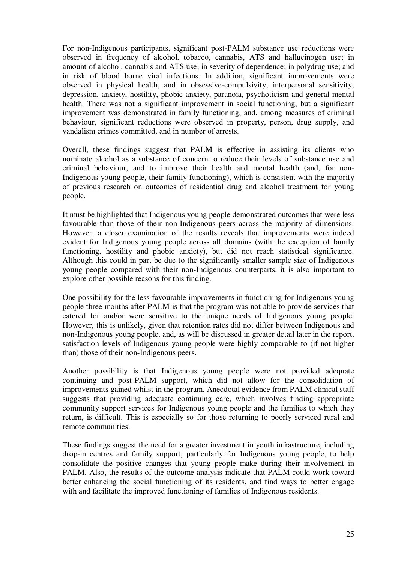For non-Indigenous participants, significant post-PALM substance use reductions were observed in frequency of alcohol, tobacco, cannabis, ATS and hallucinogen use; in amount of alcohol, cannabis and ATS use; in severity of dependence; in polydrug use; and in risk of blood borne viral infections. In addition, significant improvements were observed in physical health, and in obsessive-compulsivity, interpersonal sensitivity, depression, anxiety, hostility, phobic anxiety, paranoia, psychoticism and general mental health. There was not a significant improvement in social functioning, but a significant improvement was demonstrated in family functioning, and, among measures of criminal behaviour, significant reductions were observed in property, person, drug supply, and vandalism crimes committed, and in number of arrests.

Overall, these findings suggest that PALM is effective in assisting its clients who nominate alcohol as a substance of concern to reduce their levels of substance use and criminal behaviour, and to improve their health and mental health (and, for non-Indigenous young people, their family functioning), which is consistent with the majority of previous research on outcomes of residential drug and alcohol treatment for young people.

It must be highlighted that Indigenous young people demonstrated outcomes that were less favourable than those of their non-Indigenous peers across the majority of dimensions. However, a closer examination of the results reveals that improvements were indeed evident for Indigenous young people across all domains (with the exception of family functioning, hostility and phobic anxiety), but did not reach statistical significance. Although this could in part be due to the significantly smaller sample size of Indigenous young people compared with their non-Indigenous counterparts, it is also important to explore other possible reasons for this finding.

One possibility for the less favourable improvements in functioning for Indigenous young people three months after PALM is that the program was not able to provide services that catered for and/or were sensitive to the unique needs of Indigenous young people. However, this is unlikely, given that retention rates did not differ between Indigenous and non-Indigenous young people, and, as will be discussed in greater detail later in the report, satisfaction levels of Indigenous young people were highly comparable to (if not higher than) those of their non-Indigenous peers.

Another possibility is that Indigenous young people were not provided adequate continuing and post-PALM support, which did not allow for the consolidation of improvements gained whilst in the program. Anecdotal evidence from PALM clinical staff suggests that providing adequate continuing care, which involves finding appropriate community support services for Indigenous young people and the families to which they return, is difficult. This is especially so for those returning to poorly serviced rural and remote communities.

These findings suggest the need for a greater investment in youth infrastructure, including drop-in centres and family support, particularly for Indigenous young people, to help consolidate the positive changes that young people make during their involvement in PALM. Also, the results of the outcome analysis indicate that PALM could work toward better enhancing the social functioning of its residents, and find ways to better engage with and facilitate the improved functioning of families of Indigenous residents.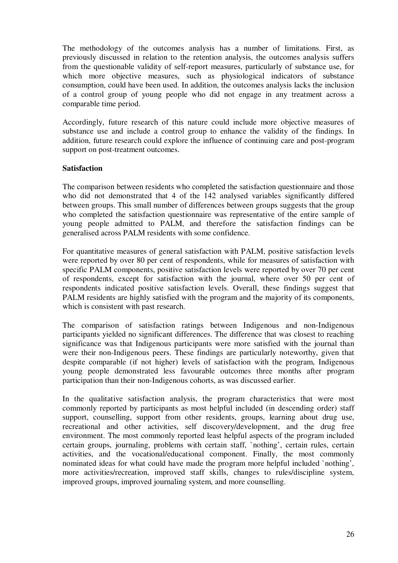The methodology of the outcomes analysis has a number of limitations. First, as previously discussed in relation to the retention analysis, the outcomes analysis suffers from the questionable validity of self-report measures, particularly of substance use, for which more objective measures, such as physiological indicators of substance consumption, could have been used. In addition, the outcomes analysis lacks the inclusion of a control group of young people who did not engage in any treatment across a comparable time period.

Accordingly, future research of this nature could include more objective measures of substance use and include a control group to enhance the validity of the findings. In addition, future research could explore the influence of continuing care and post-program support on post-treatment outcomes.

### **Satisfaction**

The comparison between residents who completed the satisfaction questionnaire and those who did not demonstrated that 4 of the 142 analysed variables significantly differed between groups. This small number of differences between groups suggests that the group who completed the satisfaction questionnaire was representative of the entire sample of young people admitted to PALM, and therefore the satisfaction findings can be generalised across PALM residents with some confidence.

For quantitative measures of general satisfaction with PALM, positive satisfaction levels were reported by over 80 per cent of respondents, while for measures of satisfaction with specific PALM components, positive satisfaction levels were reported by over 70 per cent of respondents, except for satisfaction with the journal, where over 50 per cent of respondents indicated positive satisfaction levels. Overall, these findings suggest that PALM residents are highly satisfied with the program and the majority of its components, which is consistent with past research.

The comparison of satisfaction ratings between Indigenous and non-Indigenous participants yielded no significant differences. The difference that was closest to reaching significance was that Indigenous participants were more satisfied with the journal than were their non-Indigenous peers. These findings are particularly noteworthy, given that despite comparable (if not higher) levels of satisfaction with the program, Indigenous young people demonstrated less favourable outcomes three months after program participation than their non-Indigenous cohorts, as was discussed earlier.

In the qualitative satisfaction analysis, the program characteristics that were most commonly reported by participants as most helpful included (in descending order) staff support, counselling, support from other residents, groups, learning about drug use, recreational and other activities, self discovery/development, and the drug free environment. The most commonly reported least helpful aspects of the program included certain groups, journaling, problems with certain staff, `nothing', certain rules, certain activities, and the vocational/educational component. Finally, the most commonly nominated ideas for what could have made the program more helpful included `nothing', more activities/recreation, improved staff skills, changes to rules/discipline system, improved groups, improved journaling system, and more counselling.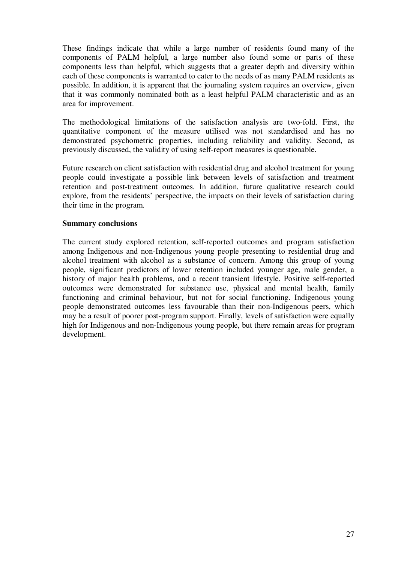These findings indicate that while a large number of residents found many of the components of PALM helpful, a large number also found some or parts of these components less than helpful, which suggests that a greater depth and diversity within each of these components is warranted to cater to the needs of as many PALM residents as possible. In addition, it is apparent that the journaling system requires an overview, given that it was commonly nominated both as a least helpful PALM characteristic and as an area for improvement.

The methodological limitations of the satisfaction analysis are two-fold. First, the quantitative component of the measure utilised was not standardised and has no demonstrated psychometric properties, including reliability and validity. Second, as previously discussed, the validity of using self-report measures is questionable.

Future research on client satisfaction with residential drug and alcohol treatment for young people could investigate a possible link between levels of satisfaction and treatment retention and post-treatment outcomes. In addition, future qualitative research could explore, from the residents' perspective, the impacts on their levels of satisfaction during their time in the program.

### **Summary conclusions**

The current study explored retention, self-reported outcomes and program satisfaction among Indigenous and non-Indigenous young people presenting to residential drug and alcohol treatment with alcohol as a substance of concern. Among this group of young people, significant predictors of lower retention included younger age, male gender, a history of major health problems, and a recent transient lifestyle. Positive self-reported outcomes were demonstrated for substance use, physical and mental health, family functioning and criminal behaviour, but not for social functioning. Indigenous young people demonstrated outcomes less favourable than their non-Indigenous peers, which may be a result of poorer post-program support. Finally, levels of satisfaction were equally high for Indigenous and non-Indigenous young people, but there remain areas for program development.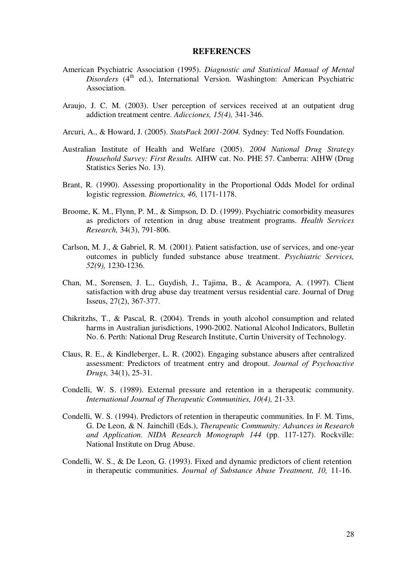#### **REFERENCES**

- American Psychiatric Association (1995). *Diagnostic and Statistical Manual of Mental Disorders* (4<sup>th</sup> ed.), International Version. Washington: American Psychiatric Association.
- Araujo, J. C. M. (2003). User perception of services received at an outpatient drug addiction treatment centre. *Adicciones, 15(4),* 341-346.
- Arcuri, A., & Howard, J. (2005). *StatsPack 2001-2004.* Sydney: Ted Noffs Foundation.
- Australian Institute of Health and Welfare (2005). *2004 National Drug Strategy Household Survey: First Results.* AIHW cat. No. PHE 57. Canberra: AIHW (Drug Statistics Series No. 13).
- Brant, R. (1990). Assessing proportionality in the Proportional Odds Model for ordinal logistic regression. *Biometrics, 46,* 1171-1178.
- Broome, K. M., Flynn, P. M., & Simpson, D. D. (1999). Psychiatric comorbidity measures as predictors of retention in drug abuse treatment programs. *Health Services Research,* 34(3), 791-806.
- Carlson, M. J., & Gabriel, R. M. (2001). Patient satisfaction, use of services, and one-year outcomes in publicly funded substance abuse treatment. *Psychiatric Services, 52(9),* 1230-1236.
- Chan, M., Sorensen, J. L., Guydish, J., Tajima, B., & Acampora, A. (1997). Client satisfaction with drug abuse day treatment versus residential care. Journal of Drug Isseus, 27(2), 367-377.
- Chikritzhs, T., & Pascal, R. (2004). Trends in youth alcohol consumption and related harms in Australian jurisdictions, 1990-2002. National Alcohol Indicators, Bulletin No. 6. Perth: National Drug Research Institute, Curtin University of Technology.
- Claus, R. E., & Kindleberger, L. R. (2002). Engaging substance abusers after centralized assessment: Predictors of treatment entry and dropout. *Journal of Psychoactive Drugs,* 34(1), 25-31.
- Condelli, W. S. (1989). External pressure and retention in a therapeutic community. *International Journal of Therapeutic Communities, 10(4),* 21-33.
- Condelli, W. S. (1994). Predictors of retention in therapeutic communities. In F. M. Tims, G. De Leon, & N. Jainchill (Eds.), *Therapeutic Community: Advances in Research and Application. NIDA Research Monograph 144* (pp. 117-127). Rockville: National Institute on Drug Abuse.
- Condelli, W. S., & De Leon, G. (1993). Fixed and dynamic predictors of client retention in therapeutic communities. *Journal of Substance Abuse Treatment, 10,* 11-16.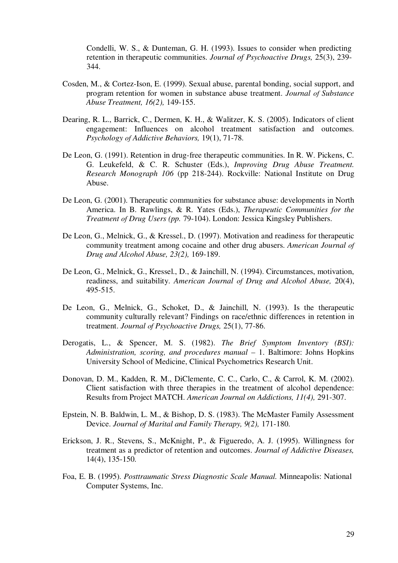Condelli, W. S., & Dunteman, G. H. (1993). Issues to consider when predicting retention in therapeutic communities. *Journal of Psychoactive Drugs,* 25(3), 239- 344.

- Cosden, M., & Cortez-Ison, E. (1999). Sexual abuse, parental bonding, social support, and program retention for women in substance abuse treatment. *Journal of Substance Abuse Treatment, 16(2),* 149-155.
- Dearing, R. L., Barrick, C., Dermen, K. H., & Walitzer, K. S. (2005). Indicators of client engagement: Influences on alcohol treatment satisfaction and outcomes. *Psychology of Addictive Behaviors,* 19(1), 71-78.
- De Leon, G. (1991). Retention in drug-free therapeutic communities. In R. W. Pickens, C. G. Leukefeld, & C. R. Schuster (Eds.), *Improving Drug Abuse Treatment. Research Monograph 106* (pp 218-244). Rockville: National Institute on Drug Abuse.
- De Leon, G. (2001). Therapeutic communities for substance abuse: developments in North America. In B. Rawlings, & R. Yates (Eds.), *Therapeutic Communities for the Treatment of Drug Users (pp.* 79-104). London: Jessica Kingsley Publishers.
- De Leon, G., Melnick, G., & Kressel., D. (1997). Motivation and readiness for therapeutic community treatment among cocaine and other drug abusers. *American Journal of Drug and Alcohol Abuse, 23(2),* 169-189.
- De Leon, G., Melnick, G., Kressel., D., & Jainchill, N. (1994). Circumstances, motivation, readiness, and suitability. *American Journal of Drug and Alcohol Abuse,* 20(4), 495-515.
- De Leon, G., Melnick, G., Schoket, D., & Jainchill, N. (1993). Is the therapeutic community culturally relevant? Findings on race/ethnic differences in retention in treatment. *Journal of Psychoactive Drugs,* 25(1), 77-86.
- Derogatis, L., & Spencer, M. S. (1982). *The Brief Symptom Inventory (BSI): Administration, scoring, and procedures manual –* 1. Baltimore: Johns Hopkins University School of Medicine, Clinical Psychometrics Research Unit.
- Donovan, D. M., Kadden, R. M., DiClemente, C. C., Carlo, C., & Carrol, K. M. (2002). Client satisfaction with three therapies in the treatment of alcohol dependence: Results from Project MATCH. *American Journal on Addictions, 11(4),* 291-307.
- Epstein, N. B. Baldwin, L. M., & Bishop, D. S. (1983). The McMaster Family Assessment Device. *Journal of Marital and Family Therapy, 9(2),* 171-180.
- Erickson, J. R., Stevens, S., McKnight, P., & Figueredo, A. J. (1995). Willingness for treatment as a predictor of retention and outcomes. *Journal of Addictive Diseases,*  14(4), 135-150.
- Foa, E. B. (1995). *Posttraumatic Stress Diagnostic Scale Manual.* Minneapolis: National Computer Systems, Inc.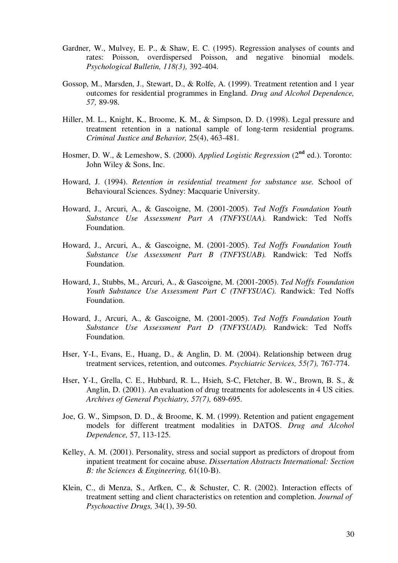- Gardner, W., Mulvey, E. P., & Shaw, E. C. (1995). Regression analyses of counts and rates: Poisson, overdispersed Poisson, and negative binomial models. *Psychological Bulletin, 118(3),* 392-404.
- Gossop, M., Marsden, J., Stewart, D., & Rolfe, A. (1999). Treatment retention and 1 year outcomes for residential programmes in England. *Drug and Alcohol Dependence, 57,* 89-98.
- Hiller, M. L., Knight, K., Broome, K. M., & Simpson, D. D. (1998). Legal pressure and treatment retention in a national sample of long-term residential programs. *Criminal Justice and Behavior,* 25(4), 463-481.
- Hosmer, D. W., & Lemeshow, S. (2000). *Applied Logistic Regression* (2**nd** ed.). Toronto: John Wiley & Sons, Inc.
- Howard, J. (1994). *Retention in residential treatment for substance use.* School of Behavioural Sciences. Sydney: Macquarie University.
- Howard, J., Arcuri, A., & Gascoigne, M. (2001-2005). *Ted Noffs Foundation Youth Substance Use Assessment Part A (TNFYSUAA).* Randwick: Ted Noffs Foundation.
- Howard, J., Arcuri, A., & Gascoigne, M. (2001-2005). *Ted Noffs Foundation Youth Substance Use Assessment Part B (TNFYSUAB).* Randwick: Ted Noffs Foundation.
- Howard, J., Stubbs, M., Arcuri, A., & Gascoigne, M. (2001-2005). *Ted Noffs Foundation Youth Substance Use Assessment Part C (TNFYSUAC).* Randwick: Ted Noffs Foundation.
- Howard, J., Arcuri, A., & Gascoigne, M. (2001-2005). *Ted Noffs Foundation Youth Substance Use Assessment Part D (TNFYSUAD).* Randwick: Ted Noffs Foundation.
- Hser, Y-I., Evans, E., Huang, D., & Anglin, D. M. (2004). Relationship between drug treatment services, retention, and outcomes. *Psychiatric Services, 55(7),* 767-774.
- Hser, Y-I., Grella, C. E., Hubbard, R. L., Hsieh, S-C, Fletcher, B. W., Brown, B. S., & Anglin, D. (2001). An evaluation of drug treatments for adolescents in 4 US cities. *Archives of General Psychiatry, 57(7),* 689-695.
- Joe, G. W., Simpson, D. D., & Broome, K. M. (1999). Retention and patient engagement models for different treatment modalities in DATOS. *Drug and Alcohol Dependence,* 57, 113-125.
- Kelley, A. M. (2001). Personality, stress and social support as predictors of dropout from inpatient treatment for cocaine abuse. *Dissertation Abstracts International: Section B: the Sciences & Engineering,* 61(10-B).
- Klein, C., di Menza, S., Arfken, C., & Schuster, C. R. (2002). Interaction effects of treatment setting and client characteristics on retention and completion. *Journal of Psychoactive Drugs,* 34(1), 39-50.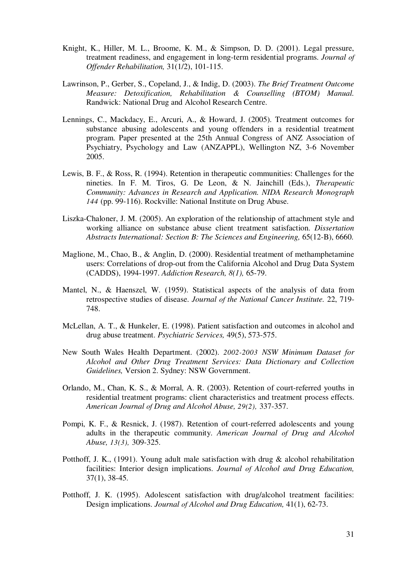- Knight, K., Hiller, M. L., Broome, K. M., & Simpson, D. D. (2001). Legal pressure, treatment readiness, and engagement in long-term residential programs. *Journal of Offender Rehabilitation,* 31(1/2), 101-115.
- Lawrinson, P., Gerber, S., Copeland, J., & Indig, D. (2003). *The Brief Treatment Outcome Measure: Detoxification, Rehabilitation & Counselling (BTOM) Manual.*  Randwick: National Drug and Alcohol Research Centre.
- Lennings, C., Mackdacy, E., Arcuri, A., & Howard, J. (2005). Treatment outcomes for substance abusing adolescents and young offenders in a residential treatment program. Paper presented at the 25th Annual Congress of ANZ Association of Psychiatry, Psychology and Law (ANZAPPL), Wellington NZ, 3-6 November 2005.
- Lewis, B. F., & Ross, R. (1994). Retention in therapeutic communities: Challenges for the nineties. In F. M. Tiros, G. De Leon, & N. Jainchill (Eds.), *Therapeutic Community: Advances in Research and Application. NIDA Research Monograph 144* (pp. 99-116). Rockville: National Institute on Drug Abuse.
- Liszka-Chaloner, J. M. (2005). An exploration of the relationship of attachment style and working alliance on substance abuse client treatment satisfaction. *Dissertation Abstracts International: Section B: The Sciences and Engineering,* 65(12-B), 6660.
- Maglione, M., Chao, B., & Anglin, D. (2000). Residential treatment of methamphetamine users: Correlations of drop-out from the California Alcohol and Drug Data System (CADDS), 1994-1997. *Addiction Research, 8(1),* 65-79.
- Mantel, N., & Haenszel, W. (1959). Statistical aspects of the analysis of data from retrospective studies of disease. *Journal of the National Cancer Institute.* 22, 719- 748.
- McLellan, A. T., & Hunkeler, E. (1998). Patient satisfaction and outcomes in alcohol and drug abuse treatment. *Psychiatric Services,* 49(5), 573-575.
- New South Wales Health Department. (2002). *2002-2003 NSW Minimum Dataset for Alcohol and Other Drug Treatment Services: Data Dictionary and Collection Guidelines,* Version 2. Sydney: NSW Government.
- Orlando, M., Chan, K. S., & Morral, A. R. (2003). Retention of court-referred youths in residential treatment programs: client characteristics and treatment process effects. *American Journal of Drug and Alcohol Abuse, 29(2),* 337-357.
- Pompi, K. F., & Resnick, J. (1987). Retention of court-referred adolescents and young adults in the therapeutic community. *American Journal of Drug and Alcohol Abuse, 13(3),* 309-325.
- Potthoff, J. K., (1991). Young adult male satisfaction with drug & alcohol rehabilitation facilities: Interior design implications. *Journal of Alcohol and Drug Education,*  37(1), 38-45.
- Potthoff, J. K. (1995). Adolescent satisfaction with drug/alcohol treatment facilities: Design implications. *Journal of Alcohol and Drug Education,* 41(1), 62-73.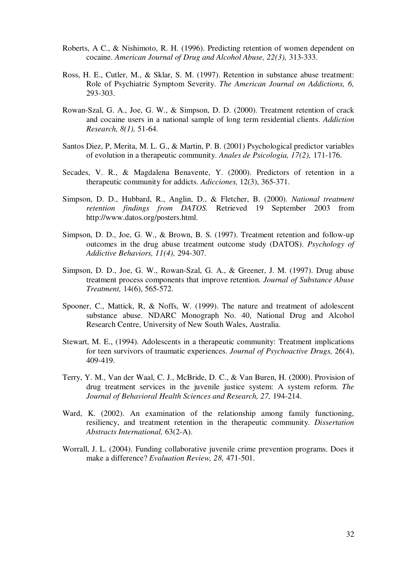- Roberts, A C., & Nishimoto, R. H. (1996). Predicting retention of women dependent on cocaine. *American Journal of Drug and Alcohol Abuse, 22(3),* 313-333.
- Ross, H. E., Cutler, M., & Sklar, S. M. (1997). Retention in substance abuse treatment: Role of Psychiatric Symptom Severity. *The American Journal on Addictions, 6,*  293-303.
- Rowan-Szal, G. A., Joe, G. W., & Simpson, D. D. (2000). Treatment retention of crack and cocaine users in a national sample of long term residential clients. *Addiction Research, 8(1),* 51-64.
- Santos Diez, P, Merita, M. L. G., & Martin, P. B. (2001) Psychological predictor variables of evolution in a therapeutic community. *Anales de Psicologia, 17(2),* 171-176.
- Secades, V. R., & Magdalena Benavente, Y. (2000). Predictors of retention in a therapeutic community for addicts. *Adicciones,* 12(3), 365-371.
- Simpson, D. D., Hubbard, R., Anglin, D., & Fletcher, B. (2000). *National treatment retention findings from DATOS.* Retrieved 19 September 2003 from http://www.datos.org/posters.html.
- Simpson, D. D., Joe, G. W., & Brown, B. S. (1997). Treatment retention and follow-up outcomes in the drug abuse treatment outcome study (DATOS). *Psychology of Addictive Behaviors, 11(4),* 294-307.
- Simpson, D. D., Joe, G. W., Rowan-Szal, G. A., & Greener, J. M. (1997). Drug abuse treatment process components that improve retention. *Journal of Substance Abuse Treatment,* 14(6), 565-572.
- Spooner, C., Mattick, R, & Noffs, W. (1999). The nature and treatment of adolescent substance abuse. NDARC Monograph No. 40, National Drug and Alcohol Research Centre, University of New South Wales, Australia.
- Stewart, M. E., (1994). Adolescents in a therapeutic community: Treatment implications for teen survivors of traumatic experiences. *Journal of Psychoactive Drugs,* 26(4), 409-419.
- Terry, Y. M., Van der Waal, C. J., McBride, D. C., & Van Buren, H. (2000). Provision of drug treatment services in the juvenile justice system: A system reform. *The Journal of Behavioral Health Sciences and Research, 27,* 194-214.
- Ward, K. (2002). An examination of the relationship among family functioning, resiliency, and treatment retention in the therapeutic community. *Dissertation Abstracts International,* 63(2-A).
- Worrall, J. L. (2004). Funding collaborative juvenile crime prevention programs. Does it make a difference? *Evaluation Review, 28,* 471-501.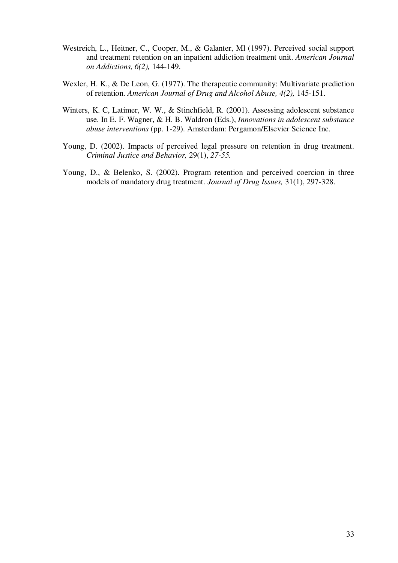- Westreich, L., Heitner, C., Cooper, M., & Galanter, Ml (1997). Perceived social support and treatment retention on an inpatient addiction treatment unit. *American Journal on Addictions, 6(2),* 144-149.
- Wexler, H. K., & De Leon, G. (1977). The therapeutic community: Multivariate prediction of retention. *American Journal of Drug and Alcohol Abuse, 4(2),* 145-151.
- Winters, K. C, Latimer, W. W., & Stinchfield, R. (2001). Assessing adolescent substance use. In E. F. Wagner, & H. B. Waldron (Eds.), *Innovations in adolescent substance abuse interventions* (pp. 1-29). Amsterdam: Pergamon/Elsevier Science Inc.
- Young, D. (2002). Impacts of perceived legal pressure on retention in drug treatment. *Criminal Justice and Behavior,* 29(1), *27-55.*
- Young, D., & Belenko, S. (2002). Program retention and perceived coercion in three models of mandatory drug treatment. *Journal of Drug Issues,* 31(1), 297-328.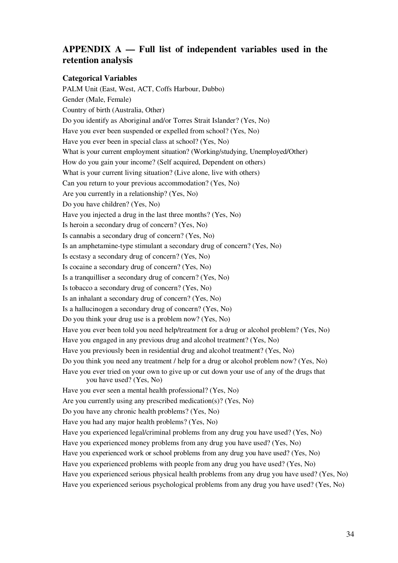# **APPENDIX A — Full list of independent variables used in the retention analysis**

### **Categorical Variables**

PALM Unit (East, West, ACT, Coffs Harbour, Dubbo) Gender (Male, Female) Country of birth (Australia, Other) Do you identify as Aboriginal and/or Torres Strait Islander? (Yes, No) Have you ever been suspended or expelled from school? (Yes, No) Have you ever been in special class at school? (Yes, No) What is your current employment situation? (Working/studying, Unemployed/Other) How do you gain your income? (Self acquired, Dependent on others) What is your current living situation? (Live alone, live with others) Can you return to your previous accommodation? (Yes, No) Are you currently in a relationship? (Yes, No) Do you have children? (Yes, No) Have you injected a drug in the last three months? (Yes, No) Is heroin a secondary drug of concern? (Yes, No) Is cannabis a secondary drug of concern? (Yes, No) Is an amphetamine-type stimulant a secondary drug of concern? (Yes, No) Is ecstasy a secondary drug of concern? (Yes, No) Is cocaine a secondary drug of concern? (Yes, No) Is a tranquilliser a secondary drug of concern? (Yes, No) Is tobacco a secondary drug of concern? (Yes, No) Is an inhalant a secondary drug of concern? (Yes, No) Is a hallucinogen a secondary drug of concern? (Yes, No) Do you think your drug use is a problem now? (Yes, No) Have you ever been told you need help/treatment for a drug or alcohol problem? (Yes, No) Have you engaged in any previous drug and alcohol treatment? (Yes, No) Have you previously been in residential drug and alcohol treatment? (Yes, No) Do you think you need any treatment / help for a drug or alcohol problem now? (Yes, No) Have you ever tried on your own to give up or cut down your use of any of the drugs that you have used? (Yes, No) Have you ever seen a mental health professional? (Yes, No) Are you currently using any prescribed medication(s)? (Yes, No) Do you have any chronic health problems? (Yes, No) Have you had any major health problems? (Yes, No) Have you experienced legal/criminal problems from any drug you have used? (Yes, No) Have you experienced money problems from any drug you have used? (Yes, No) Have you experienced work or school problems from any drug you have used? (Yes, No) Have you experienced problems with people from any drug you have used? (Yes, No) Have you experienced serious physical health problems from any drug you have used? (Yes, No) Have you experienced serious psychological problems from any drug you have used? (Yes, No)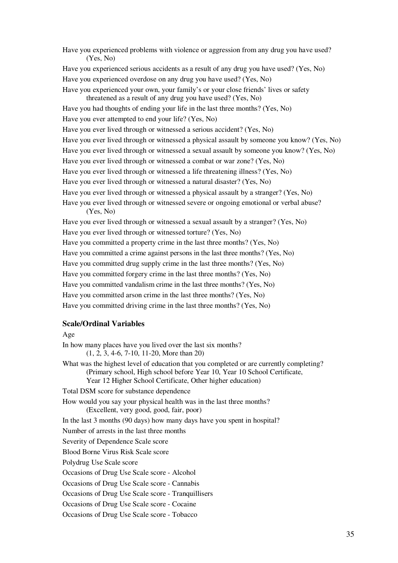Have you experienced problems with violence or aggression from any drug you have used? (Yes, No) Have you experienced serious accidents as a result of any drug you have used? (Yes, No) Have you experienced overdose on any drug you have used? (Yes, No) Have you experienced your own, your family's or your close friends' lives or safety threatened as a result of any drug you have used? (Yes, No) Have you had thoughts of ending your life in the last three months? (Yes, No) Have you ever attempted to end your life? (Yes, No) Have you ever lived through or witnessed a serious accident? (Yes, No) Have you ever lived through or witnessed a physical assault by someone you know? (Yes, No) Have you ever lived through or witnessed a sexual assault by someone you know? (Yes, No) Have you ever lived through or witnessed a combat or war zone? (Yes, No) Have you ever lived through or witnessed a life threatening illness? (Yes, No) Have you ever lived through or witnessed a natural disaster? (Yes, No) Have you ever lived through or witnessed a physical assault by a stranger? (Yes, No) Have you ever lived through or witnessed severe or ongoing emotional or verbal abuse? (Yes, No) Have you ever lived through or witnessed a sexual assault by a stranger? (Yes, No) Have you ever lived through or witnessed torture? (Yes, No) Have you committed a property crime in the last three months? (Yes, No) Have you committed a crime against persons in the last three months? (Yes, No) Have you committed drug supply crime in the last three months? (Yes, No) Have you committed forgery crime in the last three months? (Yes, No) Have you committed vandalism crime in the last three months? (Yes, No) Have you committed arson crime in the last three months? (Yes, No) Have you committed driving crime in the last three months? (Yes, No) **Scale/Ordinal Variables**  Age

In how many places have you lived over the last six months? (1, 2, 3, 4-6, 7-10, 11-20, More than 20) What was the highest level of education that you completed or are currently completing? (Primary school, High school before Year 10, Year 10 School Certificate, Year 12 Higher School Certificate, Other higher education) Total DSM score for substance dependence How would you say your physical health was in the last three months? (Excellent, very good, good, fair, poor) In the last 3 months (90 days) how many days have you spent in hospital? Number of arrests in the last three months Severity of Dependence Scale score Blood Borne Virus Risk Scale score Polydrug Use Scale score Occasions of Drug Use Scale score - Alcohol Occasions of Drug Use Scale score - Cannabis Occasions of Drug Use Scale score - Tranquillisers Occasions of Drug Use Scale score - Cocaine Occasions of Drug Use Scale score - Tobacco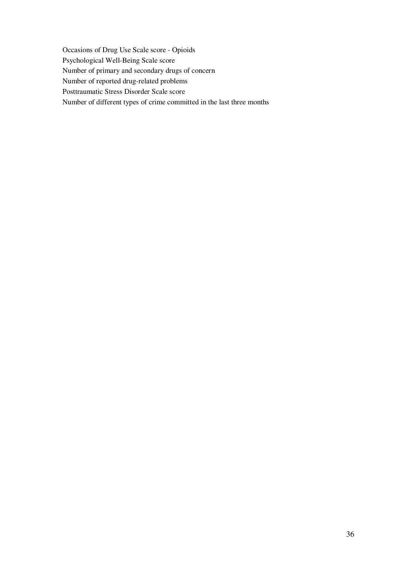Occasions of Drug Use Scale score - Opioids Psychological Well-Being Scale score Number of primary and secondary drugs of concern Number of reported drug-related problems Posttraumatic Stress Disorder Scale score Number of different types of crime committed in the last three months